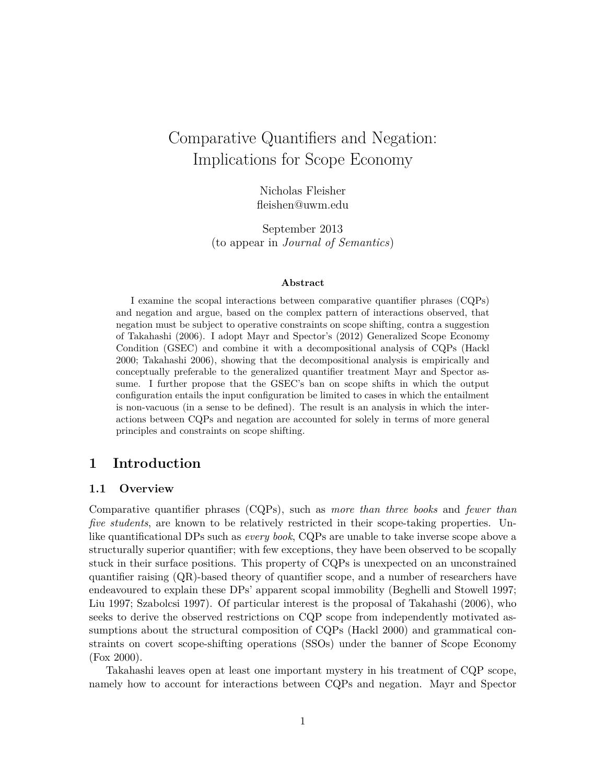# Comparative Quantifiers and Negation: Implications for Scope Economy

Nicholas Fleisher fleishen@uwm.edu

September 2013 (to appear in *Journal of Semantics*)

#### **Abstract**

I examine the scopal interactions between comparative quantifier phrases (CQPs) and negation and argue, based on the complex pattern of interactions observed, that negation must be subject to operative constraints on scope shifting, contra a suggestion of Takahashi (2006). I adopt Mayr and Spector's (2012) Generalized Scope Economy Condition (GSEC) and combine it with a decompositional analysis of CQPs (Hackl 2000; Takahashi 2006), showing that the decompositional analysis is empirically and conceptually preferable to the generalized quantifier treatment Mayr and Spector assume. I further propose that the GSEC's ban on scope shifts in which the output configuration entails the input configuration be limited to cases in which the entailment is non-vacuous (in a sense to be defined). The result is an analysis in which the interactions between CQPs and negation are accounted for solely in terms of more general principles and constraints on scope shifting.

# **1 Introduction**

### **1.1 Overview**

Comparative quantifier phrases (CQPs), such as *more than three books* and *fewer than five students*, are known to be relatively restricted in their scope-taking properties. Unlike quantificational DPs such as *every book*, CQPs are unable to take inverse scope above a structurally superior quantifier; with few exceptions, they have been observed to be scopally stuck in their surface positions. This property of CQPs is unexpected on an unconstrained quantifier raising (QR)-based theory of quantifier scope, and a number of researchers have endeavoured to explain these DPs' apparent scopal immobility (Beghelli and Stowell 1997; Liu 1997; Szabolcsi 1997). Of particular interest is the proposal of Takahashi (2006), who seeks to derive the observed restrictions on CQP scope from independently motivated assumptions about the structural composition of CQPs (Hackl 2000) and grammatical constraints on covert scope-shifting operations (SSOs) under the banner of Scope Economy (Fox 2000).

Takahashi leaves open at least one important mystery in his treatment of CQP scope, namely how to account for interactions between CQPs and negation. Mayr and Spector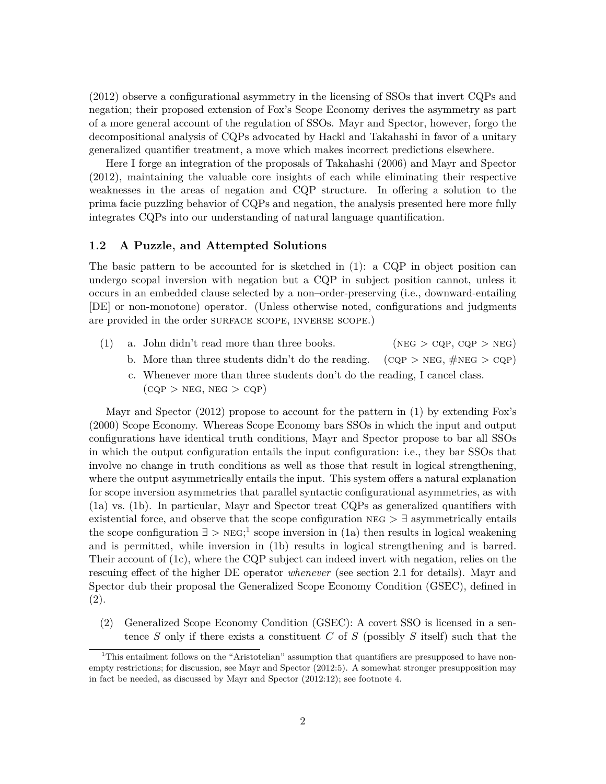(2012) observe a configurational asymmetry in the licensing of SSOs that invert CQPs and negation; their proposed extension of Fox's Scope Economy derives the asymmetry as part of a more general account of the regulation of SSOs. Mayr and Spector, however, forgo the decompositional analysis of CQPs advocated by Hackl and Takahashi in favor of a unitary generalized quantifier treatment, a move which makes incorrect predictions elsewhere.

Here I forge an integration of the proposals of Takahashi (2006) and Mayr and Spector (2012), maintaining the valuable core insights of each while eliminating their respective weaknesses in the areas of negation and CQP structure. In offering a solution to the prima facie puzzling behavior of CQPs and negation, the analysis presented here more fully integrates CQPs into our understanding of natural language quantification.

#### **1.2 A Puzzle, and Attempted Solutions**

The basic pattern to be accounted for is sketched in  $(1)$ : a CQP in object position can undergo scopal inversion with negation but a CQP in subject position cannot, unless it occurs in an embedded clause selected by a non–order-preserving (i.e., downward-entailing [DE] or non-monotone) operator. (Unless otherwise noted, configurations and judgments are provided in the order SURFACE SCOPE, INVERSE SCOPE.)

- (1) a. John didn't read more than three books. (NEG  $>$  CQP, CQP  $>$  NEG)
	- b. More than three students didn't do the reading.  $(CQP > NEG, \#NEG > CQP)$
	- c. Whenever more than three students don't do the reading, I cancel class.  $(CQP > NEG, NEG > CQP)$

Mayr and Spector (2012) propose to account for the pattern in (1) by extending Fox's (2000) Scope Economy. Whereas Scope Economy bars SSOs in which the input and output configurations have identical truth conditions, Mayr and Spector propose to bar all SSOs in which the output configuration entails the input configuration: i.e., they bar SSOs that involve no change in truth conditions as well as those that result in logical strengthening, where the output asymmetrically entails the input. This system offers a natural explanation for scope inversion asymmetries that parallel syntactic configurational asymmetries, as with (1a) vs. (1b). In particular, Mayr and Spector treat CQPs as generalized quantifiers with existential force, and observe that the scope configuration  $NEG$   $\geq$   $\exists$  asymmetrically entails the scope configuration  $\exists > \text{NEG}; 1$  scope inversion in (1a) then results in logical weakening and is permitted, while inversion in (1b) results in logical strengthening and is barred. Their account of (1c), where the CQP subject can indeed invert with negation, relies on the rescuing effect of the higher DE operator *whenever* (see section 2.1 for details). Mayr and Spector dub their proposal the Generalized Scope Economy Condition (GSEC), defined in (2).

(2) Generalized Scope Economy Condition (GSEC): A covert SSO is licensed in a sentence *S* only if there exists a constituent *C* of *S* (possibly *S* itself) such that the

<sup>&</sup>lt;sup>1</sup>This entailment follows on the "Aristotelian" assumption that quantifiers are presupposed to have nonempty restrictions; for discussion, see Mayr and Spector (2012:5). A somewhat stronger presupposition may in fact be needed, as discussed by Mayr and Spector (2012:12); see footnote 4.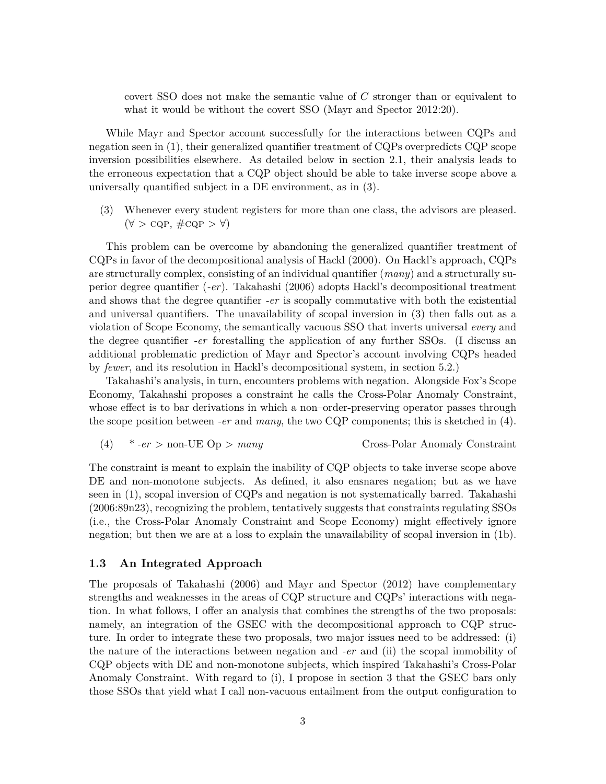covert SSO does not make the semantic value of *C* stronger than or equivalent to what it would be without the covert SSO (Mayr and Spector 2012:20).

While Mayr and Spector account successfully for the interactions between CQPs and negation seen in (1), their generalized quantifier treatment of CQPs overpredicts CQP scope inversion possibilities elsewhere. As detailed below in section 2.1, their analysis leads to the erroneous expectation that a CQP object should be able to take inverse scope above a universally quantified subject in a DE environment, as in (3).

(3) Whenever every student registers for more than one class, the advisors are pleased.  $(\forall > \text{CQP}, \# \text{CQP} > \forall)$ 

This problem can be overcome by abandoning the generalized quantifier treatment of CQPs in favor of the decompositional analysis of Hackl (2000). On Hackl's approach, CQPs are structurally complex, consisting of an individual quantifier (*many*) and a structurally superior degree quantifier (*-er*). Takahashi (2006) adopts Hackl's decompositional treatment and shows that the degree quantifier *-er* is scopally commutative with both the existential and universal quantifiers. The unavailability of scopal inversion in (3) then falls out as a violation of Scope Economy, the semantically vacuous SSO that inverts universal *every* and the degree quantifier *-er* forestalling the application of any further SSOs. (I discuss an additional problematic prediction of Mayr and Spector's account involving CQPs headed by *fewer*, and its resolution in Hackl's decompositional system, in section 5.2.)

Takahashi's analysis, in turn, encounters problems with negation. Alongside Fox's Scope Economy, Takahashi proposes a constraint he calls the Cross-Polar Anomaly Constraint, whose effect is to bar derivations in which a non–order-preserving operator passes through the scope position between *-er* and *many*, the two CQP components; this is sketched in (4).

(4) 
$$
*-er >
$$
 non-UE Op > *many* Cross-Polar Anomaly Constant

The constraint is meant to explain the inability of CQP objects to take inverse scope above DE and non-monotone subjects. As defined, it also ensnares negation; but as we have seen in (1), scopal inversion of CQPs and negation is not systematically barred. Takahashi (2006:89n23), recognizing the problem, tentatively suggests that constraints regulating SSOs (i.e., the Cross-Polar Anomaly Constraint and Scope Economy) might effectively ignore negation; but then we are at a loss to explain the unavailability of scopal inversion in (1b).

#### **1.3 An Integrated Approach**

The proposals of Takahashi (2006) and Mayr and Spector (2012) have complementary strengths and weaknesses in the areas of CQP structure and CQPs' interactions with negation. In what follows, I offer an analysis that combines the strengths of the two proposals: namely, an integration of the GSEC with the decompositional approach to CQP structure. In order to integrate these two proposals, two major issues need to be addressed: (i) the nature of the interactions between negation and *-er* and (ii) the scopal immobility of CQP objects with DE and non-monotone subjects, which inspired Takahashi's Cross-Polar Anomaly Constraint. With regard to (i), I propose in section 3 that the GSEC bars only those SSOs that yield what I call non-vacuous entailment from the output configuration to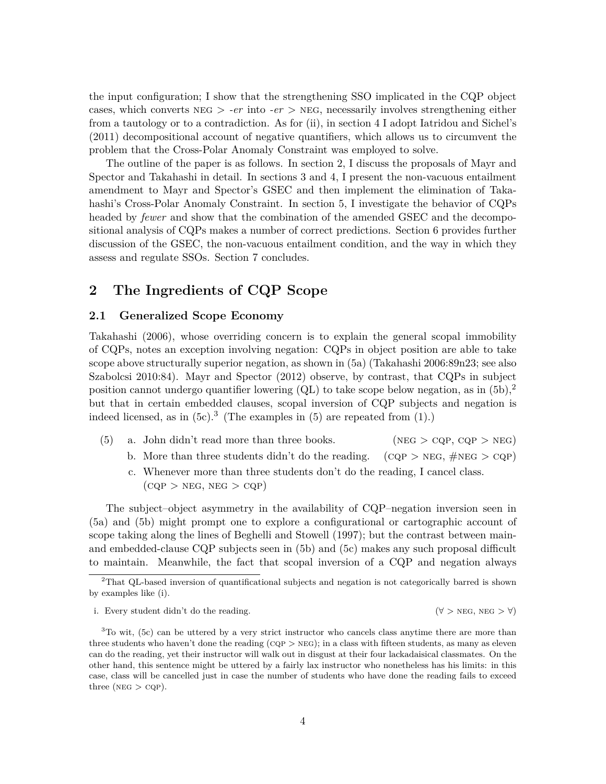the input configuration; I show that the strengthening SSO implicated in the CQP object cases, which converts  $NEG > -er$  into  $-er$  > NEG, necessarily involves strengthening either from a tautology or to a contradiction. As for (ii), in section 4 I adopt Iatridou and Sichel's (2011) decompositional account of negative quantifiers, which allows us to circumvent the problem that the Cross-Polar Anomaly Constraint was employed to solve.

The outline of the paper is as follows. In section 2, I discuss the proposals of Mayr and Spector and Takahashi in detail. In sections 3 and 4, I present the non-vacuous entailment amendment to Mayr and Spector's GSEC and then implement the elimination of Takahashi's Cross-Polar Anomaly Constraint. In section 5, I investigate the behavior of CQPs headed by *fewer* and show that the combination of the amended GSEC and the decompositional analysis of CQPs makes a number of correct predictions. Section 6 provides further discussion of the GSEC, the non-vacuous entailment condition, and the way in which they assess and regulate SSOs. Section 7 concludes.

# **2 The Ingredients of CQP Scope**

### **2.1 Generalized Scope Economy**

Takahashi (2006), whose overriding concern is to explain the general scopal immobility of CQPs, notes an exception involving negation: CQPs in object position are able to take scope above structurally superior negation, as shown in (5a) (Takahashi 2006:89n23; see also Szabolcsi 2010:84). Mayr and Spector (2012) observe, by contrast, that CQPs in subject position cannot undergo quantifier lowering  $\left(QL\right)$  to take scope below negation, as in  $(5b)$ ,<sup>2</sup> but that in certain embedded clauses, scopal inversion of CQP subjects and negation is indeed licensed, as in  $(5c).<sup>3</sup>$  (The examples in  $(5)$  are repeated from  $(1).$ )

- (5) a. John didn't read more than three books. (NEG  $>$  CQP, CQP  $>$  NEG)
	- b. More than three students didn't do the reading. (CQP > NEG,  $\#NEG > CQP$ )
	- c. Whenever more than three students don't do the reading, I cancel class.  $(CQP > NEG, NEG > CQP)$

The subject–object asymmetry in the availability of CQP–negation inversion seen in (5a) and (5b) might prompt one to explore a configurational or cartographic account of scope taking along the lines of Beghelli and Stowell (1997); but the contrast between mainand embedded-clause CQP subjects seen in (5b) and (5c) makes any such proposal difficult to maintain. Meanwhile, the fact that scopal inversion of a CQP and negation always

<sup>2</sup>That QL-based inversion of quantificational subjects and negation is not categorically barred is shown by examples like (i).

i. Every student didn't do the reading.  $(\forall > \text{NEG}, \text{NEG} > \forall)$ 

 $3$ To wit, (5c) can be uttered by a very strict instructor who cancels class anytime there are more than three students who haven't done the reading  $(CQP > NEG)$ ; in a class with fifteen students, as many as eleven can do the reading, yet their instructor will walk out in disgust at their four lackadaisical classmates. On the other hand, this sentence might be uttered by a fairly lax instructor who nonetheless has his limits: in this case, class will be cancelled just in case the number of students who have done the reading fails to exceed three ( $NEG > CQP$ ).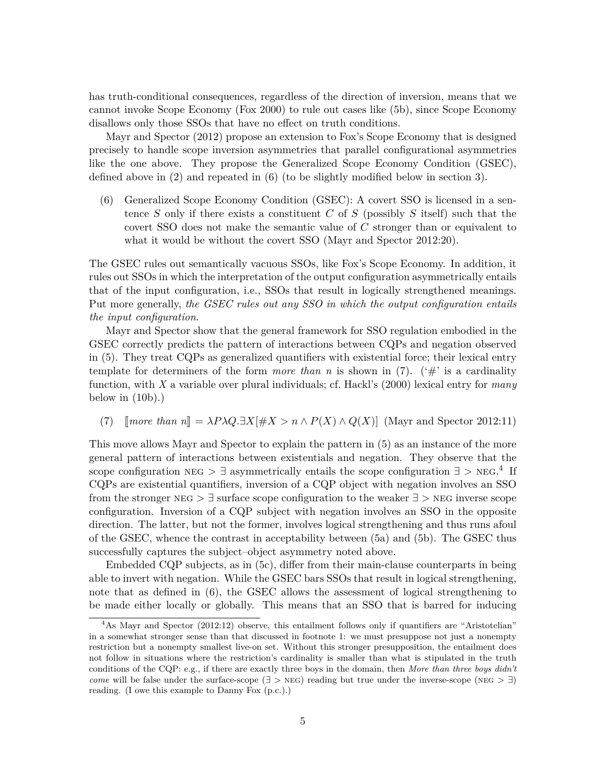has truth-conditional consequences, regardless of the direction of inversion, means that we cannot invoke Scope Economy (Fox 2000) to rule out cases like (5b), since Scope Economy disallows only those SSOs that have no effect on truth conditions.

Mayr and Spector (2012) propose an extension to Fox's Scope Economy that is designed precisely to handle scope inversion asymmetries that parallel configurational asymmetries like the one above. They propose the Generalized Scope Economy Condition (GSEC), defined above in (2) and repeated in (6) (to be slightly modified below in section 3).

(6) Generalized Scope Economy Condition (GSEC): A covert SSO is licensed in a sentence *S* only if there exists a constituent *C* of *S* (possibly *S* itself) such that the covert SSO does not make the semantic value of *C* stronger than or equivalent to what it would be without the covert SSO (Mayr and Spector 2012:20).

The GSEC rules out semantically vacuous SSOs, like Fox's Scope Economy. In addition, it rules out SSOs in which the interpretation of the output configuration asymmetrically entails that of the input configuration, i.e., SSOs that result in logically strengthened meanings. Put more generally, *the GSEC rules out any SSO in which the output configuration entails the input configuration*.

Mayr and Spector show that the general framework for SSO regulation embodied in the GSEC correctly predicts the pattern of interactions between CQPs and negation observed in (5). They treat CQPs as generalized quantifiers with existential force; their lexical entry template for determiners of the form *more than n* is shown in  $(7)$ . ( $\#$ ' is a cardinality function, with *X* a variable over plural individuals; cf. Hackl's (2000) lexical entry for *many* below in  $(10b)$ .)

(7)  $\mathbb{I}$  *more than n* $\mathbb{I} = \lambda P \lambda Q \exists X [\# X > n \wedge P(X) \wedge Q(X)]$  (Mayr and Spector 2012:11)

This move allows Mayr and Spector to explain the pattern in (5) as an instance of the more general pattern of interactions between existentials and negation. They observe that the scope configuration NEG >  $\exists$  asymmetrically entails the scope configuration  $\exists$  > NEG.<sup>4</sup> If CQPs are existential quantifiers, inversion of a CQP object with negation involves an SSO from the stronger  $NEG > \exists$  surface scope configuration to the weaker  $\exists$  > NEG inverse scope configuration. Inversion of a CQP subject with negation involves an SSO in the opposite direction. The latter, but not the former, involves logical strengthening and thus runs afoul of the GSEC, whence the contrast in acceptability between (5a) and (5b). The GSEC thus successfully captures the subject–object asymmetry noted above.

Embedded CQP subjects, as in (5c), differ from their main-clause counterparts in being able to invert with negation. While the GSEC bars SSOs that result in logical strengthening, note that as defined in (6), the GSEC allows the assessment of logical strengthening to be made either locally or globally. This means that an SSO that is barred for inducing

<sup>&</sup>lt;sup>4</sup>As Mayr and Spector (2012:12) observe, this entailment follows only if quantifiers are "Aristotelian" in a somewhat stronger sense than that discussed in footnote 1: we must presuppose not just a nonempty restriction but a nonempty smallest live-on set. Without this stronger presupposition, the entailment does not follow in situations where the restriction's cardinality is smaller than what is stipulated in the truth conditions of the CQP: e.g., if there are exactly three boys in the domain, then *More than three boys didn't come* will be false under the surface-scope ( $\exists$  > NEG) reading but true under the inverse-scope (NEG >  $\exists$ ) reading. (I owe this example to Danny Fox (p.c.).)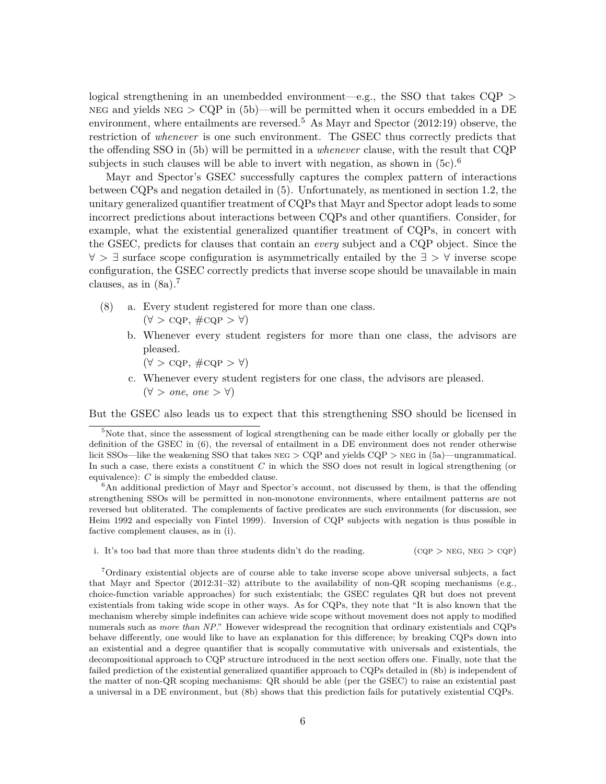logical strengthening in an unembedded environment—e.g., the SSO that takes  $CQP >$ NEG and yields  $NEG > CQP$  in (5b)—will be permitted when it occurs embedded in a DE environment, where entailments are reversed.<sup>5</sup> As Mayr and Spector  $(2012:19)$  observe, the restriction of *whenever* is one such environment. The GSEC thus correctly predicts that the offending SSO in (5b) will be permitted in a *whenever* clause, with the result that CQP subjects in such clauses will be able to invert with negation, as shown in  $(5c)$ .<sup>6</sup>

Mayr and Spector's GSEC successfully captures the complex pattern of interactions between CQPs and negation detailed in (5). Unfortunately, as mentioned in section 1.2, the unitary generalized quantifier treatment of CQPs that Mayr and Spector adopt leads to some incorrect predictions about interactions between CQPs and other quantifiers. Consider, for example, what the existential generalized quantifier treatment of CQPs, in concert with the GSEC, predicts for clauses that contain an *every* subject and a CQP object. Since the ∀ > ∃ surface scope configuration is asymmetrically entailed by the ∃ > ∀ inverse scope configuration, the GSEC correctly predicts that inverse scope should be unavailable in main clauses, as in  $(8a)$ .<sup>7</sup>

- (8) a. Every student registered for more than one class.  $(\forall > \text{CQP}, \# \text{CQP} > \forall)$ 
	- b. Whenever every student registers for more than one class, the advisors are pleased.
		- $(\forall > \text{CQP}, \# \text{CQP} > \forall)$
	- c. Whenever every student registers for one class, the advisors are pleased. (∀ > *one*, *one* > ∀)

But the GSEC also leads us to expect that this strengthening SSO should be licensed in

 ${}^{6}$ An additional prediction of Mayr and Spector's account, not discussed by them, is that the offending strengthening SSOs will be permitted in non-monotone environments, where entailment patterns are not reversed but obliterated. The complements of factive predicates are such environments (for discussion, see Heim 1992 and especially von Fintel 1999). Inversion of CQP subjects with negation is thus possible in factive complement clauses, as in (i).

i. It's too bad that more than three students didn't do the reading. (CQP > NEG, NEG > CQP)

<sup>7</sup>Ordinary existential objects are of course able to take inverse scope above universal subjects, a fact that Mayr and Spector (2012:31–32) attribute to the availability of non-QR scoping mechanisms (e.g., choice-function variable approaches) for such existentials; the GSEC regulates QR but does not prevent existentials from taking wide scope in other ways. As for CQPs, they note that "It is also known that the mechanism whereby simple indefinites can achieve wide scope without movement does not apply to modified numerals such as *more than NP*." However widespread the recognition that ordinary existentials and CQPs behave differently, one would like to have an explanation for this difference; by breaking CQPs down into an existential and a degree quantifier that is scopally commutative with universals and existentials, the decompositional approach to CQP structure introduced in the next section offers one. Finally, note that the failed prediction of the existential generalized quantifier approach to CQPs detailed in (8b) is independent of the matter of non-QR scoping mechanisms: QR should be able (per the GSEC) to raise an existential past a universal in a DE environment, but (8b) shows that this prediction fails for putatively existential CQPs.

<sup>&</sup>lt;sup>5</sup>Note that, since the assessment of logical strengthening can be made either locally or globally per the definition of the GSEC in (6), the reversal of entailment in a DE environment does not render otherwise licit SSOs—like the weakening SSO that takes  $NEG > CQP$  and yields  $CQP > NEG$  in (5a)—ungrammatical. In such a case, there exists a constituent *C* in which the SSO does not result in logical strengthening (or equivalence): *C* is simply the embedded clause.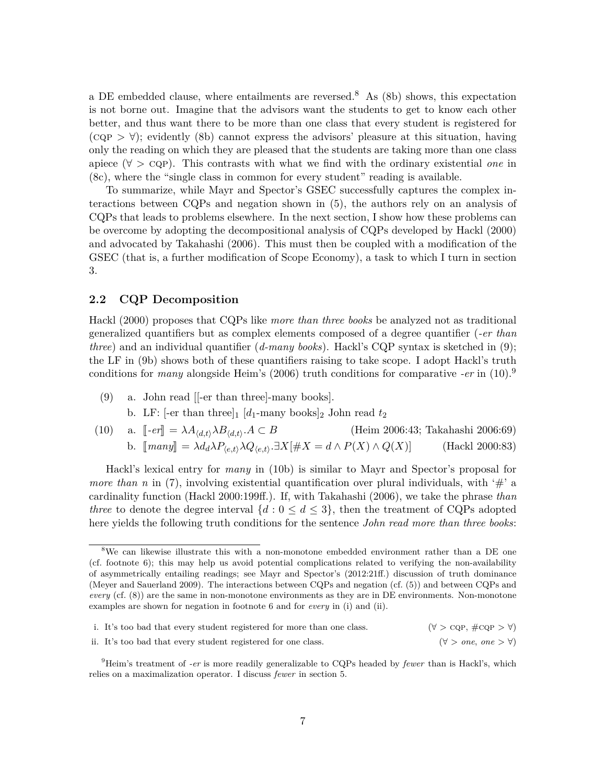a DE embedded clause, where entailments are reversed.<sup>8</sup> As  $(8b)$  shows, this expectation is not borne out. Imagine that the advisors want the students to get to know each other better, and thus want there to be more than one class that every student is registered for  $(CQP > \forall)$ ; evidently (8b) cannot express the advisors' pleasure at this situation, having only the reading on which they are pleased that the students are taking more than one class apiece (∀ > cqp). This contrasts with what we find with the ordinary existential *one* in (8c), where the "single class in common for every student" reading is available.

To summarize, while Mayr and Spector's GSEC successfully captures the complex interactions between CQPs and negation shown in (5), the authors rely on an analysis of CQPs that leads to problems elsewhere. In the next section, I show how these problems can be overcome by adopting the decompositional analysis of CQPs developed by Hackl (2000) and advocated by Takahashi (2006). This must then be coupled with a modification of the GSEC (that is, a further modification of Scope Economy), a task to which I turn in section 3.

### **2.2 CQP Decomposition**

Hackl (2000) proposes that CQPs like *more than three books* be analyzed not as traditional generalized quantifiers but as complex elements composed of a degree quantifier (*-er than three*) and an individual quantifier (*d-many books*). Hackl's CQP syntax is sketched in (9); the LF in (9b) shows both of these quantifiers raising to take scope. I adopt Hackl's truth conditions for *many* alongside Heim's (2006) truth conditions for comparative *-er* in (10).<sup>9</sup>

- (9) a. John read [[-er than three]-many books].
	- b. LF:  $[-er \t{than \t{three}}]_1$   $[d_1$-many \t{books}]_2$  John read  $t_2$
- (10) a.  $\lbrack \lbrack -er \rbrack = \lambda A_{\langle d,t \rangle} \lambda B_{\langle d,t \rangle} A \subset B$ *(Heim 2006:43; Takahashi 2006:69)* b.  $[\text{many}] = \lambda d_d \lambda P_{\langle e,t \rangle} \lambda Q_{\langle e,t \rangle} \cdot \exists X [\#X = d \land P(X) \land Q(X)]$  (Hackl 2000:83)

Hackl's lexical entry for *many* in (10b) is similar to Mayr and Spector's proposal for *more than n* in (7), involving existential quantification over plural individuals, with '#' a cardinality function (Hackl 2000:199ff.). If, with Takahashi (2006), we take the phrase *than three* to denote the degree interval  $\{d : 0 \leq d \leq 3\}$ , then the treatment of CQPs adopted here yields the following truth conditions for the sentence *John read more than three books*:

<sup>&</sup>lt;sup>8</sup>We can likewise illustrate this with a non-monotone embedded environment rather than a DE one (cf. footnote 6); this may help us avoid potential complications related to verifying the non-availability of asymmetrically entailing readings; see Mayr and Spector's (2012:21ff.) discussion of truth dominance (Meyer and Sauerland 2009). The interactions between CQPs and negation (cf. (5)) and between CQPs and *every* (cf. (8)) are the same in non-monotone environments as they are in DE environments. Non-monotone examples are shown for negation in footnote 6 and for *every* in (i) and (ii).

| i. It's too bad that every student registered for more than one class. | $(\forall > \text{CQP}, \# \text{CQP} > \forall)$ |
|------------------------------------------------------------------------|---------------------------------------------------|
| ii. It's too bad that every student registered for one class.          | $(\forall > one, one > \forall)$                  |

<sup>9</sup>Heim's treatment of *-er* is more readily generalizable to CQPs headed by *fewer* than is Hackl's, which relies on a maximalization operator. I discuss *fewer* in section 5.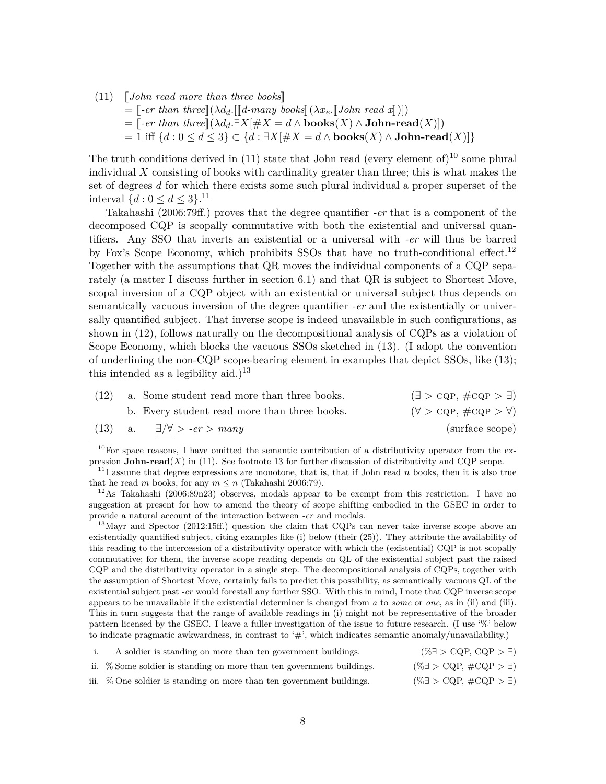$(11)$  John read more than three books

- $=\int -e^r \tan \theta \arctan \theta \cdot d\theta \cdot \ln \tan \theta \cdot d\theta \cdot \ln \tan \theta \cdot d\theta \cdot d\theta$
- $=\llbracket -er \ than \ three \rrbracket(\lambda d_d \cdot \exists X[\#X=d \land \textbf{books}(X) \land \textbf{John-read}(X)])$
- = 1 iff {*d* : 0 ≤ *d* ≤ 3} ⊂ {*d* : ∃*X*[#*X* = *d* ∧ **books**(*X*) ∧ **John-read**(*X*)]}

The truth conditions derived in  $(11)$  state that John read (every element of)<sup>10</sup> some plural individual *X* consisting of books with cardinality greater than three; this is what makes the set of degrees *d* for which there exists some such plural individual a proper superset of the interval  $\{d : 0 \le d \le 3\}.$ <sup>11</sup>

Takahashi (2006:79ff.) proves that the degree quantifier *-er* that is a component of the decomposed CQP is scopally commutative with both the existential and universal quantifiers. Any SSO that inverts an existential or a universal with *-er* will thus be barred by Fox's Scope Economy, which prohibits SSOs that have no truth-conditional effect.<sup>12</sup> Together with the assumptions that QR moves the individual components of a CQP separately (a matter I discuss further in section 6.1) and that QR is subject to Shortest Move, scopal inversion of a CQP object with an existential or universal subject thus depends on semantically vacuous inversion of the degree quantifier *-er* and the existentially or universally quantified subject. That inverse scope is indeed unavailable in such configurations, as shown in (12), follows naturally on the decompositional analysis of CQPs as a violation of Scope Economy, which blocks the vacuous SSOs sketched in (13). (I adopt the convention of underlining the non-CQP scope-bearing element in examples that depict SSOs, like (13); this intended as a legibility aid.)<sup>13</sup>

| (12) | a. Some student read more than three books.  | $(\exists > \text{CQP}, \# \text{CQP} > \exists)$ |
|------|----------------------------------------------|---------------------------------------------------|
|      | b. Every student read more than three books. | $(\forall > \text{CQP}, \# \text{CQP} > \forall)$ |
|      | (13) a. $\exists/\forall > -er >$ many       | (surface scope)                                   |

 $10$ For space reasons, I have omitted the semantic contribution of a distributivity operator from the expression **John-read** $(X)$  in (11). See footnote 13 for further discussion of distributivity and CQP scope.

<sup>11</sup>I assume that degree expressions are monotone, that is, that if John read *n* books, then it is also true that he read *m* books, for any  $m \leq n$  (Takahashi 2006:79).

<sup>12</sup>As Takahashi (2006:89n23) observes, modals appear to be exempt from this restriction. I have no suggestion at present for how to amend the theory of scope shifting embodied in the GSEC in order to provide a natural account of the interaction between *-er* and modals.

<sup>13</sup>Mayr and Spector (2012:15ff.) question the claim that CQPs can never take inverse scope above an existentially quantified subject, citing examples like (i) below (their (25)). They attribute the availability of this reading to the intercession of a distributivity operator with which the (existential) CQP is not scopally commutative; for them, the inverse scope reading depends on QL of the existential subject past the raised CQP and the distributivity operator in a single step. The decompositional analysis of CQPs, together with the assumption of Shortest Move, certainly fails to predict this possibility, as semantically vacuous QL of the existential subject past *-er* would forestall any further SSO. With this in mind, I note that CQP inverse scope appears to be unavailable if the existential determiner is changed from *a* to *some* or *one*, as in (ii) and (iii). This in turn suggests that the range of available readings in (i) might not be representative of the broader pattern licensed by the GSEC. I leave a fuller investigation of the issue to future research. (I use '%' below to indicate pragmatic awkwardness, in contrast to '#', which indicates semantic anomaly/unavailability.)

| A soldier is standing on more than ten government buildings.          | $(\% \exists > \text{CQP}, \text{CQP} > \exists)$    |
|-----------------------------------------------------------------------|------------------------------------------------------|
| ii. % Some soldier is standing on more than ten government buildings. | $(\% \exists > CQP, \#CQP > \exists)$                |
| iii. % One soldier is standing on more than ten government buildings. | $(\% \exists > \text{CQP}, \# \text{CQP} > \exists)$ |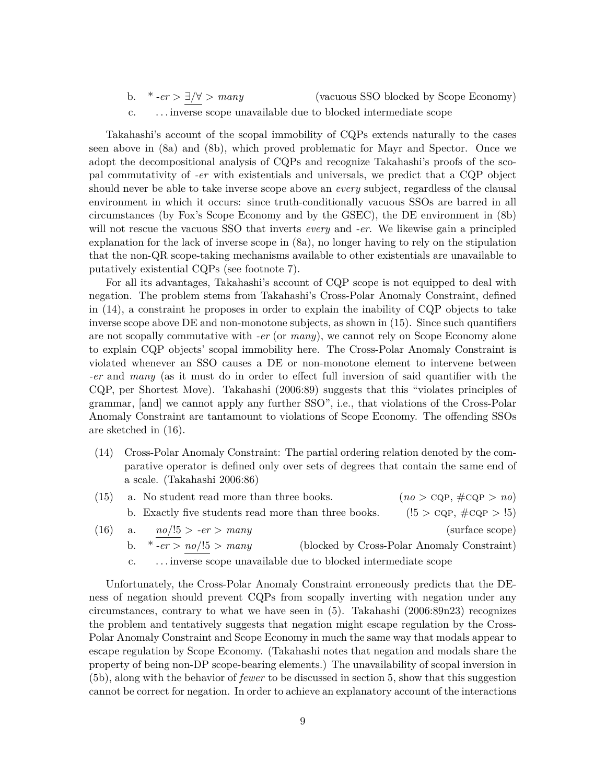b. \* *-er* > ∃/∀ > *many* (vacuous SSO blocked by Scope Economy) c. . . . inverse scope unavailable due to blocked intermediate scope

Takahashi's account of the scopal immobility of CQPs extends naturally to the cases seen above in (8a) and (8b), which proved problematic for Mayr and Spector. Once we adopt the decompositional analysis of CQPs and recognize Takahashi's proofs of the scopal commutativity of *-er* with existentials and universals, we predict that a CQP object should never be able to take inverse scope above an *every* subject, regardless of the clausal environment in which it occurs: since truth-conditionally vacuous SSOs are barred in all circumstances (by Fox's Scope Economy and by the GSEC), the DE environment in (8b) will not rescue the vacuous SSO that inverts *every* and *-er*. We likewise gain a principled explanation for the lack of inverse scope in (8a), no longer having to rely on the stipulation that the non-QR scope-taking mechanisms available to other existentials are unavailable to putatively existential CQPs (see footnote 7).

For all its advantages, Takahashi's account of CQP scope is not equipped to deal with negation. The problem stems from Takahashi's Cross-Polar Anomaly Constraint, defined in (14), a constraint he proposes in order to explain the inability of CQP objects to take inverse scope above DE and non-monotone subjects, as shown in (15). Since such quantifiers are not scopally commutative with *-er* (or *many*), we cannot rely on Scope Economy alone to explain CQP objects' scopal immobility here. The Cross-Polar Anomaly Constraint is violated whenever an SSO causes a DE or non-monotone element to intervene between *-er* and *many* (as it must do in order to effect full inversion of said quantifier with the CQP, per Shortest Move). Takahashi (2006:89) suggests that this "violates principles of grammar, [and] we cannot apply any further SSO", i.e., that violations of the Cross-Polar Anomaly Constraint are tantamount to violations of Scope Economy. The offending SSOs are sketched in (16).

- (14) Cross-Polar Anomaly Constraint: The partial ordering relation denoted by the comparative operator is defined only over sets of degrees that contain the same end of a scale. (Takahashi 2006:86)
- (15) a. No student read more than three books. ( $no > \text{CQP}, \#\text{CQP} > no$ ) b. Exactly five students read more than three books. (! $5 > \text{CQP}, \# \text{CQP} > !5$ ) (16) a.  $\frac{no}{!5} > -er > many$  (surface scope)<br>b.  $* -er > no/!5 > many$  (blocked by Cross-Polar Anomaly Constraint)
	- (blocked by Cross-Polar Anomaly Constraint)
		- c. . . . inverse scope unavailable due to blocked intermediate scope

Unfortunately, the Cross-Polar Anomaly Constraint erroneously predicts that the DEness of negation should prevent CQPs from scopally inverting with negation under any circumstances, contrary to what we have seen in (5). Takahashi (2006:89n23) recognizes the problem and tentatively suggests that negation might escape regulation by the Cross-Polar Anomaly Constraint and Scope Economy in much the same way that modals appear to escape regulation by Scope Economy. (Takahashi notes that negation and modals share the property of being non-DP scope-bearing elements.) The unavailability of scopal inversion in (5b), along with the behavior of *fewer* to be discussed in section 5, show that this suggestion cannot be correct for negation. In order to achieve an explanatory account of the interactions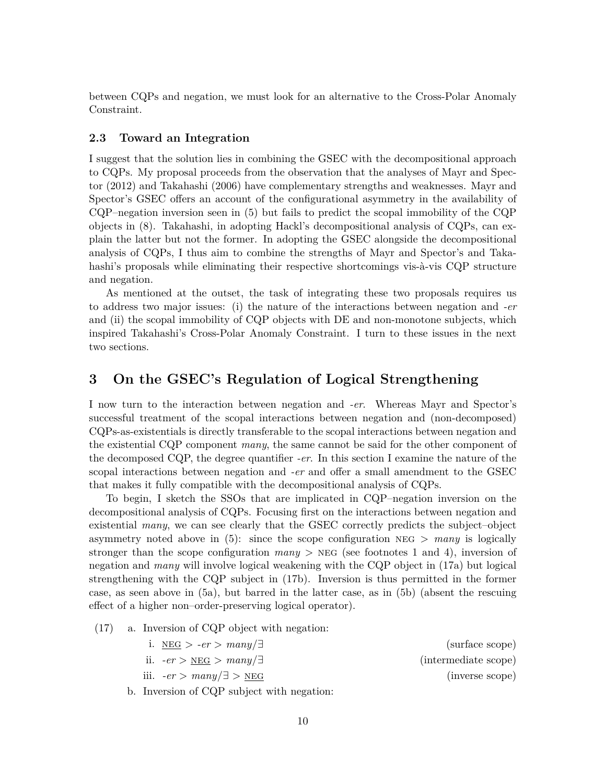between CQPs and negation, we must look for an alternative to the Cross-Polar Anomaly Constraint.

#### **2.3 Toward an Integration**

I suggest that the solution lies in combining the GSEC with the decompositional approach to CQPs. My proposal proceeds from the observation that the analyses of Mayr and Spector (2012) and Takahashi (2006) have complementary strengths and weaknesses. Mayr and Spector's GSEC offers an account of the configurational asymmetry in the availability of CQP–negation inversion seen in (5) but fails to predict the scopal immobility of the CQP objects in (8). Takahashi, in adopting Hackl's decompositional analysis of CQPs, can explain the latter but not the former. In adopting the GSEC alongside the decompositional analysis of CQPs, I thus aim to combine the strengths of Mayr and Spector's and Takahashi's proposals while eliminating their respective shortcomings vis-à-vis CQP structure and negation.

As mentioned at the outset, the task of integrating these two proposals requires us to address two major issues: (i) the nature of the interactions between negation and *-er* and (ii) the scopal immobility of CQP objects with DE and non-monotone subjects, which inspired Takahashi's Cross-Polar Anomaly Constraint. I turn to these issues in the next two sections.

# **3 On the GSEC's Regulation of Logical Strengthening**

I now turn to the interaction between negation and *-er*. Whereas Mayr and Spector's successful treatment of the scopal interactions between negation and (non-decomposed) CQPs-as-existentials is directly transferable to the scopal interactions between negation and the existential CQP component *many*, the same cannot be said for the other component of the decomposed CQP, the degree quantifier *-er*. In this section I examine the nature of the scopal interactions between negation and *-er* and offer a small amendment to the GSEC that makes it fully compatible with the decompositional analysis of CQPs.

To begin, I sketch the SSOs that are implicated in CQP–negation inversion on the decompositional analysis of CQPs. Focusing first on the interactions between negation and existential *many*, we can see clearly that the GSEC correctly predicts the subject–object asymmetry noted above in  $(5)$ : since the scope configuration NEG  $>$  *many* is logically stronger than the scope configuration *many* > NEG (see footnotes 1 and 4), inversion of negation and *many* will involve logical weakening with the CQP object in (17a) but logical strengthening with the CQP subject in (17b). Inversion is thus permitted in the former case, as seen above in (5a), but barred in the latter case, as in (5b) (absent the rescuing effect of a higher non–order-preserving logical operator).

(17) a. Inversion of CQP object with negation:

| i. NEG $>$ -er $>$ many $\exists$            | (surface scope)      |
|----------------------------------------------|----------------------|
| ii. $-er > \text{NEG} > \text{many}/\exists$ | (intermediate scope) |
| iii. $-er >$ $many/\exists >$ NEG            | (inverse scope)      |
| b. Inversion of CQP subject with negation:   |                      |

10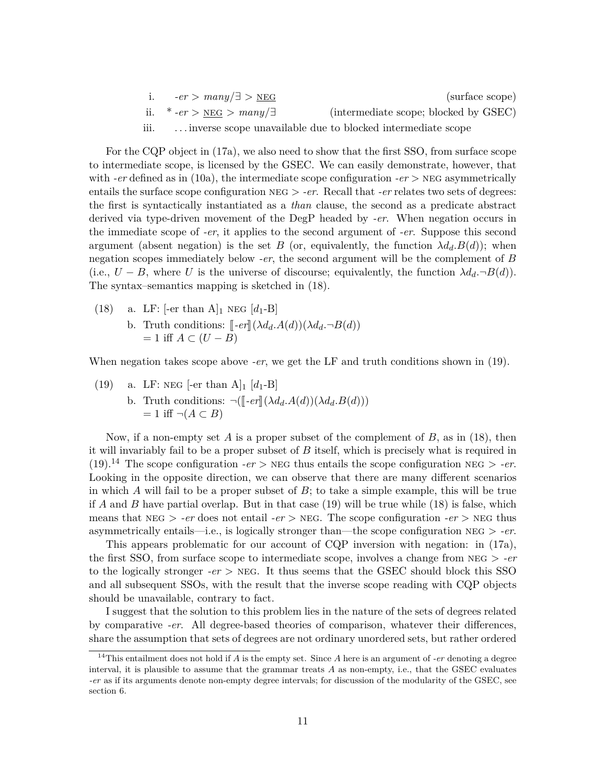|      | i. $-er > many/\exists >NEG$                 | (surface scope)                                             |
|------|----------------------------------------------|-------------------------------------------------------------|
|      | ii. * $-er > \underline{NEG} > many/\exists$ | (intermediate scope; blocked by GSEC)                       |
| iii. |                                              | inverse scope unavailable due to blocked intermediate scope |

For the CQP object in (17a), we also need to show that the first SSO, from surface scope to intermediate scope, is licensed by the GSEC. We can easily demonstrate, however, that with *-er* defined as in (10a), the intermediate scope configuration *-er* > NEG asymmetrically entails the surface scope configuration neg > *-er*. Recall that *-er* relates two sets of degrees: the first is syntactically instantiated as a *than* clause, the second as a predicate abstract derived via type-driven movement of the DegP headed by *-er*. When negation occurs in the immediate scope of *-er*, it applies to the second argument of *-er*. Suppose this second argument (absent negation) is the set *B* (or, equivalently, the function  $\lambda d_d \cdot B(d)$ ); when negation scopes immediately below *-er*, the second argument will be the complement of *B* (i.e.,  $U - B$ , where *U* is the universe of discourse; equivalently, the function  $\lambda d_d \neg B(d)$ ). The syntax–semantics mapping is sketched in (18).

(18) a. LF:  $[-er \tanh A]_1 \text{ NEG } [d_1-B]$ b. Truth conditions:  $\llbracket -er \rrbracket(\lambda d_d \cdot A(d))(\lambda d_d \cdot \neg B(d))$  $= 1$  iff  $A \subset (U - B)$ 

When negation takes scope above *-er*, we get the LF and truth conditions shown in (19).

(19) a. LF: NEG [-er than A]<sub>1</sub> 
$$
[d_1-B]
$$
  
b. Truth conditions:  $\neg([\neg er](\lambda d_d.A(d))(\lambda d_d.B(d)))$   
= 1 iff  $\neg(A \subset B)$ 

Now, if a non-empty set *A* is a proper subset of the complement of *B*, as in (18), then it will invariably fail to be a proper subset of *B* itself, which is precisely what is required in (19).<sup>14</sup> The scope configuration *-er* > NEG thus entails the scope configuration NEG > *-er*. Looking in the opposite direction, we can observe that there are many different scenarios in which *A* will fail to be a proper subset of *B*; to take a simple example, this will be true if *A* and *B* have partial overlap. But in that case (19) will be true while (18) is false, which means that  $NEG > -er$  does not entail  $-er > NEG$ . The scope configuration  $-er > NEG$  thus asymmetrically entails—i.e., is logically stronger than—the scope configuration neg > *-er*.

This appears problematic for our account of CQP inversion with negation: in (17a), the first SSO, from surface scope to intermediate scope, involves a change from neg > *-er* to the logically stronger *-er*  $>$  NEG. It thus seems that the GSEC should block this SSO and all subsequent SSOs, with the result that the inverse scope reading with CQP objects should be unavailable, contrary to fact.

I suggest that the solution to this problem lies in the nature of the sets of degrees related by comparative *-er*. All degree-based theories of comparison, whatever their differences, share the assumption that sets of degrees are not ordinary unordered sets, but rather ordered

<sup>14</sup>This entailment does not hold if *A* is the empty set. Since *A* here is an argument of *-er* denoting a degree interval, it is plausible to assume that the grammar treats *A* as non-empty, i.e., that the GSEC evaluates *-er* as if its arguments denote non-empty degree intervals; for discussion of the modularity of the GSEC, see section 6.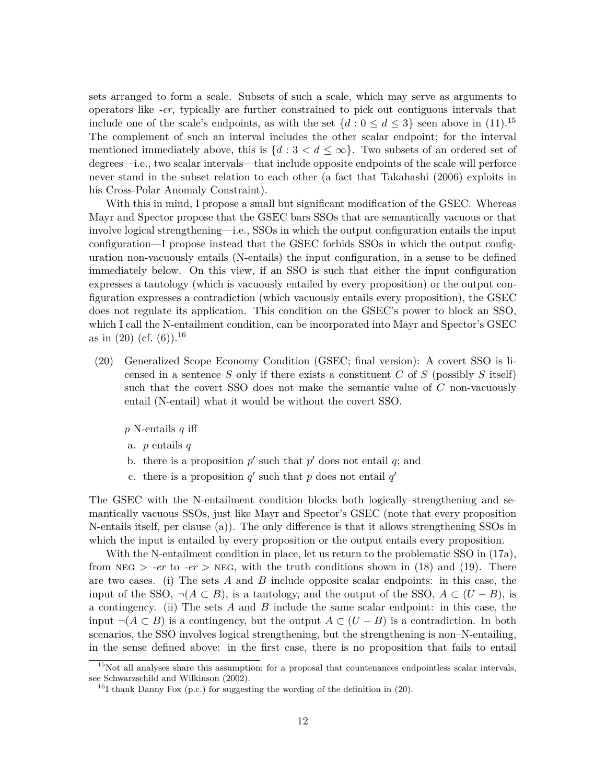sets arranged to form a scale. Subsets of such a scale, which may serve as arguments to operators like *-er*, typically are further constrained to pick out contiguous intervals that include one of the scale's endpoints, as with the set  $\{d : 0 \le d \le 3\}$  seen above in (11).<sup>15</sup> The complement of such an interval includes the other scalar endpoint; for the interval mentioned immediately above, this is  $\{d : 3 < d \leq \infty\}$ . Two subsets of an ordered set of degrees—i.e., two scalar intervals—that include opposite endpoints of the scale will perforce never stand in the subset relation to each other (a fact that Takahashi (2006) exploits in his Cross-Polar Anomaly Constraint).

With this in mind, I propose a small but significant modification of the GSEC. Whereas Mayr and Spector propose that the GSEC bars SSOs that are semantically vacuous or that involve logical strengthening—i.e., SSOs in which the output configuration entails the input configuration—I propose instead that the GSEC forbids SSOs in which the output configuration non-vacuously entails (N-entails) the input configuration, in a sense to be defined immediately below. On this view, if an SSO is such that either the input configuration expresses a tautology (which is vacuously entailed by every proposition) or the output configuration expresses a contradiction (which vacuously entails every proposition), the GSEC does not regulate its application. This condition on the GSEC's power to block an SSO, which I call the N-entailment condition, can be incorporated into Mayr and Spector's GSEC as in  $(20)$  (cf.  $(6)$ ).<sup>16</sup>

(20) Generalized Scope Economy Condition (GSEC; final version): A covert SSO is licensed in a sentence *S* only if there exists a constituent *C* of *S* (possibly *S* itself) such that the covert SSO does not make the semantic value of *C* non-vacuously entail (N-entail) what it would be without the covert SSO.

*p* N-entails *q* iff

- a. *p* entails *q*
- b. there is a proposition  $p'$  such that  $p'$  does not entail  $q$ ; and
- c. there is a proposition  $q'$  such that p does not entail  $q'$

The GSEC with the N-entailment condition blocks both logically strengthening and semantically vacuous SSOs, just like Mayr and Spector's GSEC (note that every proposition N-entails itself, per clause (a)). The only difference is that it allows strengthening SSOs in which the input is entailed by every proposition or the output entails every proposition.

With the N-entailment condition in place, let us return to the problematic SSO in  $(17a)$ , from  $NEG$  > *-er* to *-er* > NEG, with the truth conditions shown in (18) and (19). There are two cases. (i) The sets *A* and *B* include opposite scalar endpoints: in this case, the input of the SSO,  $\neg(A \subseteq B)$ , is a tautology, and the output of the SSO,  $A \subseteq (U - B)$ , is a contingency. (ii) The sets *A* and *B* include the same scalar endpoint: in this case, the input ¬(*A* ⊂ *B*) is a contingency, but the output *A* ⊂ (*U* − *B*) is a contradiction. In both scenarios, the SSO involves logical strengthening, but the strengthening is non–N-entailing, in the sense defined above: in the first case, there is no proposition that fails to entail

<sup>&</sup>lt;sup>15</sup>Not all analyses share this assumption; for a proposal that countenances endpointless scalar intervals, see Schwarzschild and Wilkinson (2002).

<sup>&</sup>lt;sup>16</sup>I thank Danny Fox (p.c.) for suggesting the wording of the definition in  $(20)$ .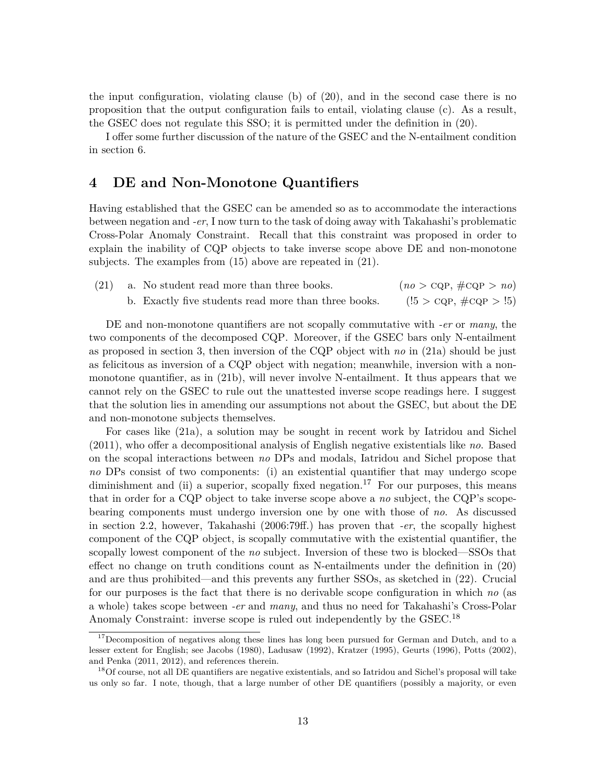the input configuration, violating clause (b) of (20), and in the second case there is no proposition that the output configuration fails to entail, violating clause (c). As a result, the GSEC does not regulate this SSO; it is permitted under the definition in (20).

I offer some further discussion of the nature of the GSEC and the N-entailment condition in section 6.

## **4 DE and Non-Monotone Quantifiers**

Having established that the GSEC can be amended so as to accommodate the interactions between negation and *-er*, I now turn to the task of doing away with Takahashi's problematic Cross-Polar Anomaly Constraint. Recall that this constraint was proposed in order to explain the inability of CQP objects to take inverse scope above DE and non-monotone subjects. The examples from (15) above are repeated in (21).

| (21) | a. No student read more than three books.            | $(no > \text{CQP}, \# \text{CQP} > no)$ |
|------|------------------------------------------------------|-----------------------------------------|
|      | b. Exactly five students read more than three books. | $(!5 > \text{CQP}, \# \text{CQP} > !5)$ |

DE and non-monotone quantifiers are not scopally commutative with *-er* or *many*, the two components of the decomposed CQP. Moreover, if the GSEC bars only N-entailment as proposed in section 3, then inversion of the CQP object with *no* in (21a) should be just as felicitous as inversion of a CQP object with negation; meanwhile, inversion with a nonmonotone quantifier, as in (21b), will never involve N-entailment. It thus appears that we cannot rely on the GSEC to rule out the unattested inverse scope readings here. I suggest that the solution lies in amending our assumptions not about the GSEC, but about the DE and non-monotone subjects themselves.

For cases like (21a), a solution may be sought in recent work by Iatridou and Sichel (2011), who offer a decompositional analysis of English negative existentials like *no*. Based on the scopal interactions between *no* DPs and modals, Iatridou and Sichel propose that *no* DPs consist of two components: (i) an existential quantifier that may undergo scope diminishment and (ii) a superior, scopally fixed negation.<sup>17</sup> For our purposes, this means that in order for a CQP object to take inverse scope above a *no* subject, the CQP's scopebearing components must undergo inversion one by one with those of *no*. As discussed in section 2.2, however, Takahashi (2006:79ff.) has proven that *-er*, the scopally highest component of the CQP object, is scopally commutative with the existential quantifier, the scopally lowest component of the *no* subject. Inversion of these two is blocked—SSOs that effect no change on truth conditions count as N-entailments under the definition in (20) and are thus prohibited—and this prevents any further SSOs, as sketched in (22). Crucial for our purposes is the fact that there is no derivable scope configuration in which *no* (as a whole) takes scope between *-er* and *many*, and thus no need for Takahashi's Cross-Polar Anomaly Constraint: inverse scope is ruled out independently by the GSEC.<sup>18</sup>

<sup>&</sup>lt;sup>17</sup>Decomposition of negatives along these lines has long been pursued for German and Dutch, and to a lesser extent for English; see Jacobs (1980), Ladusaw (1992), Kratzer (1995), Geurts (1996), Potts (2002), and Penka (2011, 2012), and references therein.

<sup>&</sup>lt;sup>18</sup>Of course, not all DE quantifiers are negative existentials, and so Iatridou and Sichel's proposal will take us only so far. I note, though, that a large number of other DE quantifiers (possibly a majority, or even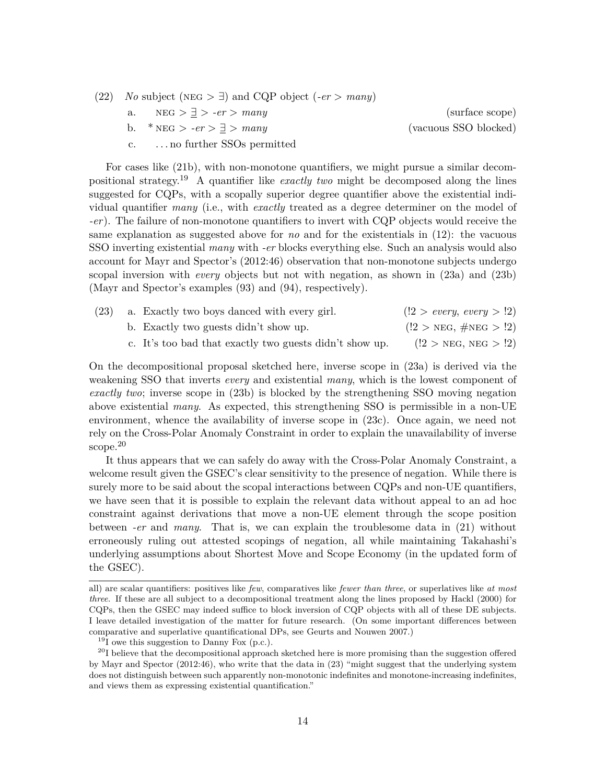(22) *No* subject ( $NEG > \exists$ ) and CQP object (*-er* > *many*) a.  $NEG > \exists > -er > many$  (surface scope) b. \*  $NEG > -er > \exists > many$  (vacuous SSO blocked) c. . . . no further SSOs permitted

For cases like (21b), with non-monotone quantifiers, we might pursue a similar decompositional strategy.<sup>19</sup> A quantifier like *exactly two* might be decomposed along the lines suggested for CQPs, with a scopally superior degree quantifier above the existential individual quantifier *many* (i.e., with *exactly* treated as a degree determiner on the model of *-er*). The failure of non-monotone quantifiers to invert with CQP objects would receive the same explanation as suggested above for *no* and for the existentials in (12): the vacuous SSO inverting existential *many* with *-er* blocks everything else. Such an analysis would also account for Mayr and Spector's (2012:46) observation that non-monotone subjects undergo scopal inversion with *every* objects but not with negation, as shown in (23a) and (23b) (Mayr and Spector's examples (93) and (94), respectively).

| (23) | a. Exactly two boys danced with every girl.             | (!2 > every, every > !2)                |
|------|---------------------------------------------------------|-----------------------------------------|
|      | b. Exactly two guests didn't show up.                   | $(!2 > \text{NEG}, \# \text{NEG} > !2)$ |
|      | c. It's too bad that exactly two guests didn't show up. | $(2 > \text{NEG}, \text{NEG} > 2)$      |

On the decompositional proposal sketched here, inverse scope in (23a) is derived via the weakening SSO that inverts *every* and existential *many*, which is the lowest component of *exactly two*; inverse scope in (23b) is blocked by the strengthening SSO moving negation above existential *many*. As expected, this strengthening SSO is permissible in a non-UE environment, whence the availability of inverse scope in (23c). Once again, we need not rely on the Cross-Polar Anomaly Constraint in order to explain the unavailability of inverse scope.<sup>20</sup>

It thus appears that we can safely do away with the Cross-Polar Anomaly Constraint, a welcome result given the GSEC's clear sensitivity to the presence of negation. While there is surely more to be said about the scopal interactions between CQPs and non-UE quantifiers, we have seen that it is possible to explain the relevant data without appeal to an ad hoc constraint against derivations that move a non-UE element through the scope position between *-er* and *many*. That is, we can explain the troublesome data in (21) without erroneously ruling out attested scopings of negation, all while maintaining Takahashi's underlying assumptions about Shortest Move and Scope Economy (in the updated form of the GSEC).

all) are scalar quantifiers: positives like *few*, comparatives like *fewer than three*, or superlatives like *at most three*. If these are all subject to a decompositional treatment along the lines proposed by Hackl (2000) for CQPs, then the GSEC may indeed suffice to block inversion of CQP objects with all of these DE subjects. I leave detailed investigation of the matter for future research. (On some important differences between comparative and superlative quantificational DPs, see Geurts and Nouwen 2007.)

 $^{19}$ I owe this suggestion to Danny Fox (p.c.).

 $^{20}$ I believe that the decompositional approach sketched here is more promising than the suggestion offered by Mayr and Spector (2012:46), who write that the data in (23) "might suggest that the underlying system does not distinguish between such apparently non-monotonic indefinites and monotone-increasing indefinites, and views them as expressing existential quantification."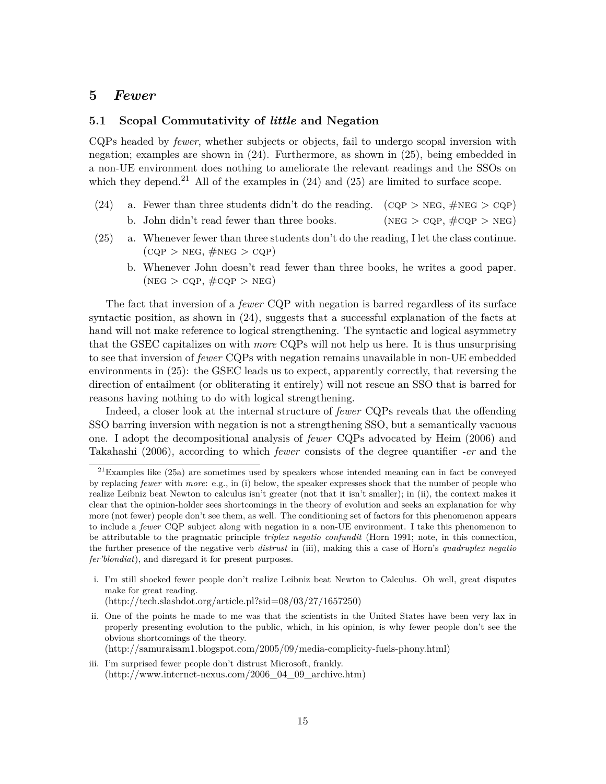### **5** *Fewer*

### **5.1 Scopal Commutativity of** *little* **and Negation**

CQPs headed by *fewer*, whether subjects or objects, fail to undergo scopal inversion with negation; examples are shown in (24). Furthermore, as shown in (25), being embedded in a non-UE environment does nothing to ameliorate the relevant readings and the SSOs on which they depend.<sup>21</sup> All of the examples in  $(24)$  and  $(25)$  are limited to surface scope.

- (24) a. Fewer than three students didn't do the reading. (CQP > NEG,  $\#NEG > CQP$ ) b. John didn't read fewer than three books. (NEG > CQP,  $\#CQP$  > NEG)
- (25) a. Whenever fewer than three students don't do the reading, I let the class continue.  $(CQP > NEG, \#NEG > CQP)$ 
	- b. Whenever John doesn't read fewer than three books, he writes a good paper.  $(NEG > CQP, \#CQP > NEG)$

The fact that inversion of a *fewer* CQP with negation is barred regardless of its surface syntactic position, as shown in  $(24)$ , suggests that a successful explanation of the facts at hand will not make reference to logical strengthening. The syntactic and logical asymmetry that the GSEC capitalizes on with *more* CQPs will not help us here. It is thus unsurprising to see that inversion of *fewer* CQPs with negation remains unavailable in non-UE embedded environments in (25): the GSEC leads us to expect, apparently correctly, that reversing the direction of entailment (or obliterating it entirely) will not rescue an SSO that is barred for reasons having nothing to do with logical strengthening.

Indeed, a closer look at the internal structure of *fewer* CQPs reveals that the offending SSO barring inversion with negation is not a strengthening SSO, but a semantically vacuous one. I adopt the decompositional analysis of *fewer* CQPs advocated by Heim (2006) and Takahashi (2006), according to which *fewer* consists of the degree quantifier *-er* and the

- i. I'm still shocked fewer people don't realize Leibniz beat Newton to Calculus. Oh well, great disputes make for great reading. (http://tech.slashdot.org/article.pl?sid=08/03/27/1657250)
- ii. One of the points he made to me was that the scientists in the United States have been very lax in properly presenting evolution to the public, which, in his opinion, is why fewer people don't see the obvious shortcomings of the theory.

(http://samuraisam1.blogspot.com/2005/09/media-complicity-fuels-phony.html)

iii. I'm surprised fewer people don't distrust Microsoft, frankly. (http://www.internet-nexus.com/2006\_04\_09\_archive.htm)

 $21$ Examples like (25a) are sometimes used by speakers whose intended meaning can in fact be conveyed by replacing *fewer* with *more*: e.g., in (i) below, the speaker expresses shock that the number of people who realize Leibniz beat Newton to calculus isn't greater (not that it isn't smaller); in (ii), the context makes it clear that the opinion-holder sees shortcomings in the theory of evolution and seeks an explanation for why more (not fewer) people don't see them, as well. The conditioning set of factors for this phenomenon appears to include a *fewer* CQP subject along with negation in a non-UE environment. I take this phenomenon to be attributable to the pragmatic principle *triplex negatio confundit* (Horn 1991; note, in this connection, the further presence of the negative verb *distrust* in (iii), making this a case of Horn's *quadruplex negatio fer'blondiat*), and disregard it for present purposes.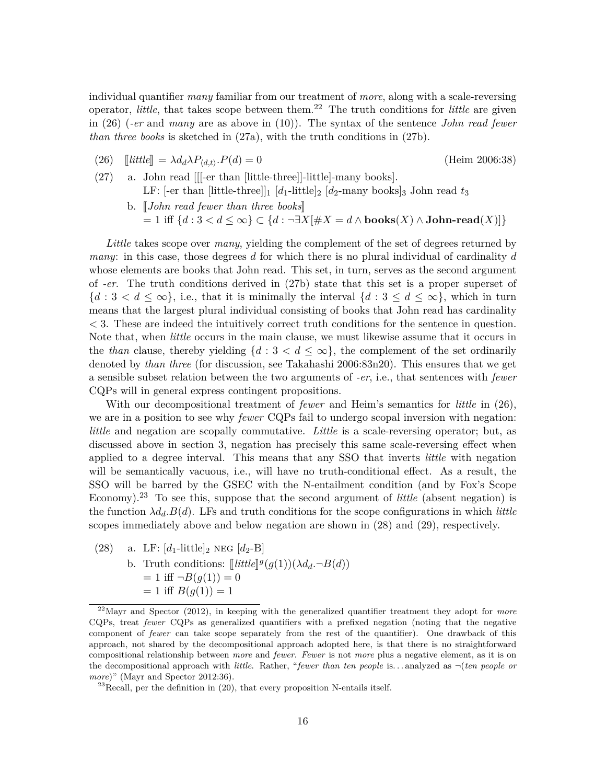individual quantifier *many* familiar from our treatment of *more*, along with a scale-reversing operator, *little*, that takes scope between them.<sup>22</sup> The truth conditions for *little* are given in (26) (*-er* and *many* are as above in (10)). The syntax of the sentence *John read fewer than three books* is sketched in (27a), with the truth conditions in (27b).

- (26)  $\left[\text{little}\right] = \lambda d_d \lambda P_{\langle d,t \rangle} P(d) = 0$ <br>(27) a. John read [[[-er than [litt] *(Heim 2006:38)*
- a. John read [[[-er than [little-three]]-little]-many books]. LF:  $[-er \t{than} \t{little-three}]\begin{bmatrix} d_1\text{-little} \end{bmatrix}$   $[d_2\text{-many books}]$  John read  $t_3$ 
	- b. *John read fewer than three books*  $= 1$  iff  $\{d : 3 < d \le ∞\}$  ⊂  $\{d : \neg \exists X [\# X = d \land \textbf{books}(X) \land \textbf{John-read}(X)]\}$

*Little* takes scope over *many*, yielding the complement of the set of degrees returned by *many*: in this case, those degrees *d* for which there is no plural individual of cardinality *d* whose elements are books that John read. This set, in turn, serves as the second argument of *-er*. The truth conditions derived in (27b) state that this set is a proper superset of  ${d : 3 < d \leq \infty}$ , i.e., that it is minimally the interval  ${d : 3 \leq d \leq \infty}$ , which in turn means that the largest plural individual consisting of books that John read has cardinality *<* 3. These are indeed the intuitively correct truth conditions for the sentence in question. Note that, when *little* occurs in the main clause, we must likewise assume that it occurs in the *than* clause, thereby yielding  $\{d : 3 < d \leq \infty\}$ , the complement of the set ordinarily denoted by *than three* (for discussion, see Takahashi 2006:83n20). This ensures that we get a sensible subset relation between the two arguments of *-er*, i.e., that sentences with *fewer* CQPs will in general express contingent propositions.

With our decompositional treatment of *fewer* and Heim's semantics for *little* in (26), we are in a position to see why *fewer* CQPs fail to undergo scopal inversion with negation: *little* and negation are scopally commutative. *Little* is a scale-reversing operator; but, as discussed above in section 3, negation has precisely this same scale-reversing effect when applied to a degree interval. This means that any SSO that inverts *little* with negation will be semantically vacuous, i.e., will have no truth-conditional effect. As a result, the SSO will be barred by the GSEC with the N-entailment condition (and by Fox's Scope Economy).<sup>23</sup> To see this, suppose that the second argument of *little* (absent negation) is the function  $\lambda d_d$ .  $B(d)$ . LFs and truth conditions for the scope configurations in which *little* scopes immediately above and below negation are shown in (28) and (29), respectively.

(28) a. LF:  $[d_1$ -little $]_2$  neg  $[d_2-B]$ b. Truth conditions:  $[little]^g(g(1))(\lambda d_d \neg B(d))$ <br>  $\rightarrow 1$  iff  $- B(g(1)) = 0$  $= 1$  iff  $\neg B(g(1)) = 0$  $= 1$  iff  $B(g(1)) = 1$ 

<sup>22</sup>Mayr and Spector (2012), in keeping with the generalized quantifier treatment they adopt for *more* CQPs, treat *fewer* CQPs as generalized quantifiers with a prefixed negation (noting that the negative component of *fewer* can take scope separately from the rest of the quantifier). One drawback of this approach, not shared by the decompositional approach adopted here, is that there is no straightforward compositional relationship between *more* and *fewer*. *Fewer* is not *more* plus a negative element, as it is on the decompositional approach with *little*. Rather, "*fewer than ten people* is. . . analyzed as ¬(*ten people or more*)" (Mayr and Spector 2012:36).

 $^{23}$ Recall, per the definition in (20), that every proposition N-entails itself.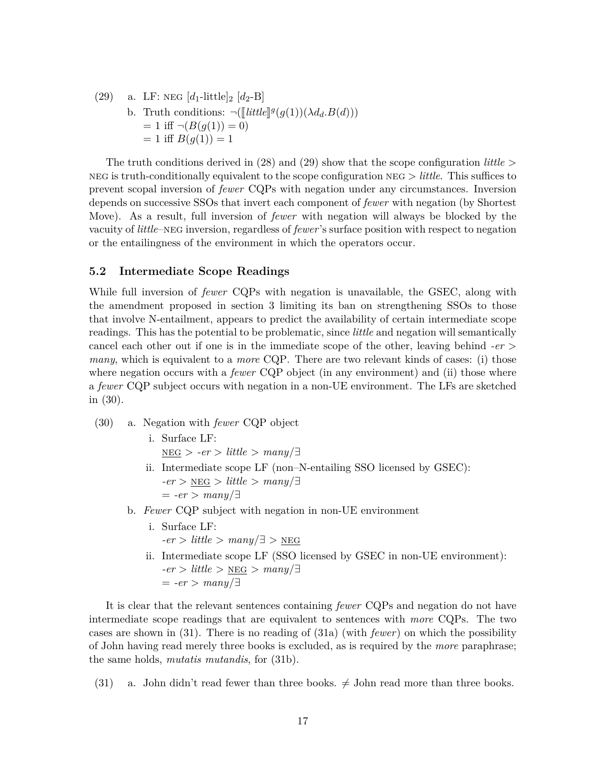(29) a. LF: NEG  $[d_1\text{-little}]_2$   $[d_2-B]$ b. Truth conditions:  $\neg(\llbracket little \rrbracket^g(g(1))(\lambda d_d.B(d)))$ <br>  $= 1$  iff  $\neg(B(g(1)) = 0)$  $= 1$  iff  $\neg(B(g(1)) = 0)$  $= 1$  iff  $B(g(1)) = 1$ 

The truth conditions derived in (28) and (29) show that the scope configuration *little* > neg is truth-conditionally equivalent to the scope configuration neg > *little*. This suffices to prevent scopal inversion of *fewer* CQPs with negation under any circumstances. Inversion depends on successive SSOs that invert each component of *fewer* with negation (by Shortest Move). As a result, full inversion of *fewer* with negation will always be blocked by the vacuity of *little*–neg inversion, regardless of *fewer*'s surface position with respect to negation or the entailingness of the environment in which the operators occur.

#### **5.2 Intermediate Scope Readings**

While full inversion of *fewer* CQPs with negation is unavailable, the GSEC, along with the amendment proposed in section 3 limiting its ban on strengthening SSOs to those that involve N-entailment, appears to predict the availability of certain intermediate scope readings. This has the potential to be problematic, since *little* and negation will semantically cancel each other out if one is in the immediate scope of the other, leaving behind *-er* > *many*, which is equivalent to a *more* CQP. There are two relevant kinds of cases: (i) those where negation occurs with a *fewer* CQP object (in any environment) and (ii) those where a *fewer* CQP subject occurs with negation in a non-UE environment. The LFs are sketched in (30).

- (30) a. Negation with *fewer* CQP object
	- i. Surface LF:  $n \leq s > -er$  > *little* >  $many/\exists$
	- ii. Intermediate scope LF (non–N-entailing SSO licensed by GSEC):  $-er$  >  $NEG$  > *little* >  $many/\exists$  $= -er$  >  $many/\exists$
	- b. *Fewer* CQP subject with negation in non-UE environment
		- i. Surface LF:  $-er$  > *little* >  $many/\exists$  > NEG
		- ii. Intermediate scope LF (SSO licensed by GSEC in non-UE environment):  $-er$  > *little* > NEG >  $many/\exists$  $= -er$  >  $manu/\exists$

It is clear that the relevant sentences containing *fewer* CQPs and negation do not have intermediate scope readings that are equivalent to sentences with *more* CQPs. The two cases are shown in (31). There is no reading of (31a) (with *fewer*) on which the possibility of John having read merely three books is excluded, as is required by the *more* paraphrase; the same holds, *mutatis mutandis*, for (31b).

(31) a. John didn't read fewer than three books.  $\neq$  John read more than three books.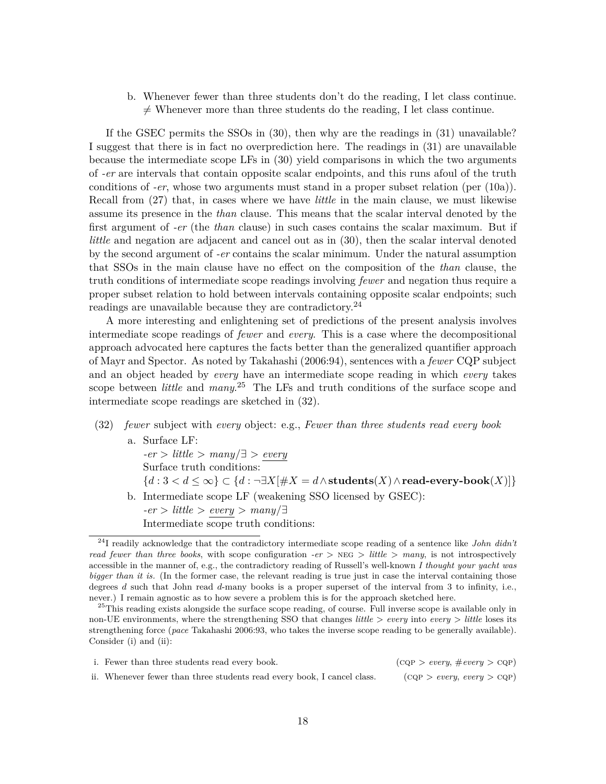b. Whenever fewer than three students don't do the reading, I let class continue.  $\neq$  Whenever more than three students do the reading, I let class continue.

If the GSEC permits the SSOs in (30), then why are the readings in (31) unavailable? I suggest that there is in fact no overprediction here. The readings in (31) are unavailable because the intermediate scope LFs in (30) yield comparisons in which the two arguments of *-er* are intervals that contain opposite scalar endpoints, and this runs afoul of the truth conditions of *-er*, whose two arguments must stand in a proper subset relation (per (10a)). Recall from (27) that, in cases where we have *little* in the main clause, we must likewise assume its presence in the *than* clause. This means that the scalar interval denoted by the first argument of *-er* (the *than* clause) in such cases contains the scalar maximum. But if *little* and negation are adjacent and cancel out as in  $(30)$ , then the scalar interval denoted by the second argument of *-er* contains the scalar minimum. Under the natural assumption that SSOs in the main clause have no effect on the composition of the *than* clause, the truth conditions of intermediate scope readings involving *fewer* and negation thus require a proper subset relation to hold between intervals containing opposite scalar endpoints; such readings are unavailable because they are contradictory.<sup>24</sup>

A more interesting and enlightening set of predictions of the present analysis involves intermediate scope readings of *fewer* and *every*. This is a case where the decompositional approach advocated here captures the facts better than the generalized quantifier approach of Mayr and Spector. As noted by Takahashi (2006:94), sentences with a *fewer* CQP subject and an object headed by *every* have an intermediate scope reading in which *every* takes scope between *little* and *many*. <sup>25</sup> The LFs and truth conditions of the surface scope and intermediate scope readings are sketched in (32).

- (32) *fewer* subject with *every* object: e.g., *Fewer than three students read every book* a. Surface LF: *-er* > *little* > *many*/∃ > *every* Surface truth conditions: {*d* : 3 *< d* ≤ ∞} ⊂ {*d* : ¬∃*X*[#*X* = *d*∧**students**(*X*)∧**read-every-book**(*X*)]}
	- b. Intermediate scope LF (weakening SSO licensed by GSEC): *-er* > *little* > *every* > *many*/∃ Intermediate scope truth conditions:

<sup>&</sup>lt;sup>25</sup>This reading exists alongside the surface scope reading, of course. Full inverse scope is available only in non-UE environments, where the strengthening SSO that changes *little* > *every* into *every* > *little* loses its strengthening force (*pace* Takahashi 2006:93, who takes the inverse scope reading to be generally available). Consider (i) and (ii):

| i. Fewer than three students read every book.                           | $(\text{CQP} > every, \#every > \text{CQP})$ |
|-------------------------------------------------------------------------|----------------------------------------------|
| ii. Whenever fewer than three students read every book, I cancel class. | (CQP > every, every > CQP)                   |

<sup>24</sup>I readily acknowledge that the contradictory intermediate scope reading of a sentence like *John didn't read fewer than three books*, with scope configuration *-er* > neg > *little* > *many*, is not introspectively accessible in the manner of, e.g., the contradictory reading of Russell's well-known *I thought your yacht was bigger than it is.* (In the former case, the relevant reading is true just in case the interval containing those degrees *d* such that John read *d*-many books is a proper superset of the interval from 3 to infinity, i.e., never.) I remain agnostic as to how severe a problem this is for the approach sketched here.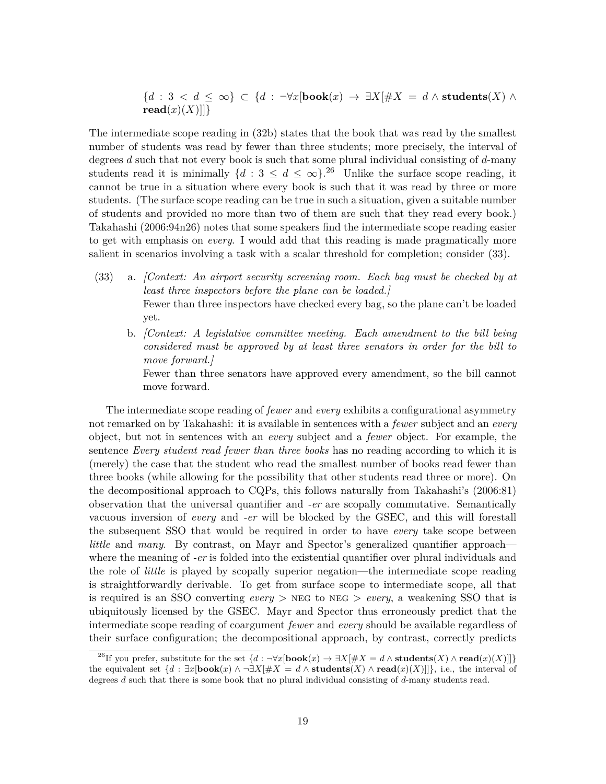${d : 3 < d \leq \infty} \subset {d : \neg \forall x[\textbf{book}(x) \rightarrow \exists X[\#X = d \land \textbf{students}(X) \land \textbf{0}]}$  $\text{read}(x)(X)||$ }

The intermediate scope reading in (32b) states that the book that was read by the smallest number of students was read by fewer than three students; more precisely, the interval of degrees *d* such that not every book is such that some plural individual consisting of *d*-many students read it is minimally  $\{d: 3 \leq d \leq \infty\}$ .<sup>26</sup> Unlike the surface scope reading, it cannot be true in a situation where every book is such that it was read by three or more students. (The surface scope reading can be true in such a situation, given a suitable number of students and provided no more than two of them are such that they read every book.) Takahashi (2006:94n26) notes that some speakers find the intermediate scope reading easier to get with emphasis on *every*. I would add that this reading is made pragmatically more salient in scenarios involving a task with a scalar threshold for completion; consider (33).

- (33) a. *[Context: An airport security screening room. Each bag must be checked by at least three inspectors before the plane can be loaded.]* Fewer than three inspectors have checked every bag, so the plane can't be loaded yet.
	- b. *[Context: A legislative committee meeting. Each amendment to the bill being considered must be approved by at least three senators in order for the bill to move forward.]*

Fewer than three senators have approved every amendment, so the bill cannot move forward.

The intermediate scope reading of *fewer* and *every* exhibits a configurational asymmetry not remarked on by Takahashi: it is available in sentences with a *fewer* subject and an *every* object, but not in sentences with an *every* subject and a *fewer* object. For example, the sentence *Every student read fewer than three books* has no reading according to which it is (merely) the case that the student who read the smallest number of books read fewer than three books (while allowing for the possibility that other students read three or more). On the decompositional approach to CQPs, this follows naturally from Takahashi's (2006:81) observation that the universal quantifier and *-er* are scopally commutative. Semantically vacuous inversion of *every* and *-er* will be blocked by the GSEC, and this will forestall the subsequent SSO that would be required in order to have *every* take scope between *little* and *many*. By contrast, on Mayr and Spector's generalized quantifier approach where the meaning of *-er* is folded into the existential quantifier over plural individuals and the role of *little* is played by scopally superior negation—the intermediate scope reading is straightforwardly derivable. To get from surface scope to intermediate scope, all that is required is an SSO converting *every* > NEG to NEG > *every*, a weakening SSO that is ubiquitously licensed by the GSEC. Mayr and Spector thus erroneously predict that the intermediate scope reading of coargument *fewer* and *every* should be available regardless of their surface configuration; the decompositional approach, by contrast, correctly predicts

<sup>&</sup>lt;sup>26</sup>If you prefer, substitute for the set  $\{d : \neg \forall x[\textbf{book}(x) \rightarrow \exists X | \# X = d \land \textbf{students}(X) \land \textbf{read}(x)(X)]\}$ the equivalent set  $\{d : \exists x[\textbf{book}(x) \land \neg \exists X[\# X = d \land \textbf{students}(X) \land \textbf{read}(x)(X)]\}\)$ , i.e., the interval of degrees *d* such that there is some book that no plural individual consisting of *d*-many students read.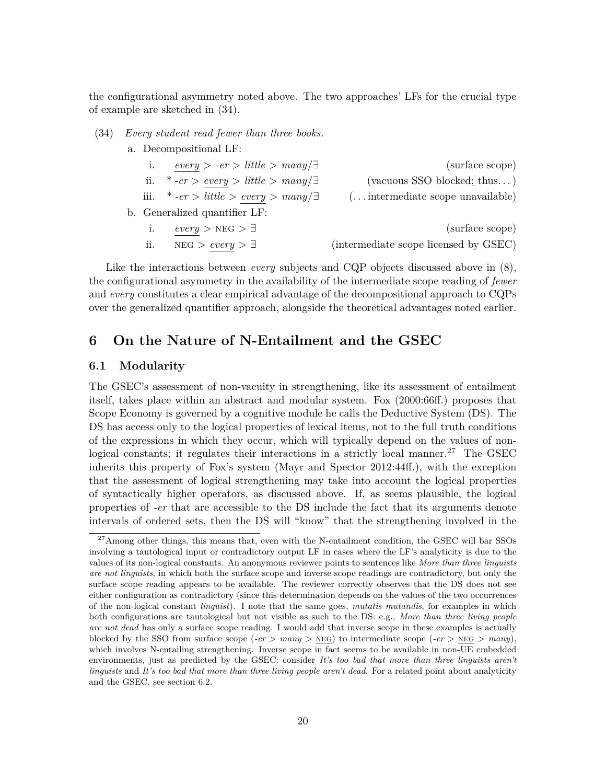the configurational asymmetry noted above. The two approaches' LFs for the crucial type of example are sketched in (34).

(34) *Every student read fewer than three books.*

a. Decompositional LF:

|     | $every > -er > little > many/\exists$         | (surface scope)                           |
|-----|-----------------------------------------------|-------------------------------------------|
|     | ii. * -er > every > little > many/ $\exists$  | (vacuous SSO blocked; thus)               |
|     | iii. * -er > little > every > many/ $\exists$ | $(\ldots$ intermediate scope unavailable) |
|     | b. Generalized quantifier LF:                 |                                           |
| i.  | $every > NEG > \exists$                       | (surface scope)                           |
| ii. | $NEG > every > \exists$                       | (intermediate scope licensed by GSEC)     |

Like the interactions between *every* subjects and CQP objects discussed above in  $(8)$ , the configurational asymmetry in the availability of the intermediate scope reading of *fewer* and *every* constitutes a clear empirical advantage of the decompositional approach to CQPs over the generalized quantifier approach, alongside the theoretical advantages noted earlier.

# **6 On the Nature of N-Entailment and the GSEC**

#### **6.1 Modularity**

The GSEC's assessment of non-vacuity in strengthening, like its assessment of entailment itself, takes place within an abstract and modular system. Fox (2000:66ff.) proposes that Scope Economy is governed by a cognitive module he calls the Deductive System (DS). The DS has access only to the logical properties of lexical items, not to the full truth conditions of the expressions in which they occur, which will typically depend on the values of nonlogical constants; it regulates their interactions in a strictly local manner.<sup>27</sup> The GSEC inherits this property of Fox's system (Mayr and Spector 2012:44ff.), with the exception that the assessment of logical strengthening may take into account the logical properties of syntactically higher operators, as discussed above. If, as seems plausible, the logical properties of *-er* that are accessible to the DS include the fact that its arguments denote intervals of ordered sets, then the DS will "know" that the strengthening involved in the

<sup>&</sup>lt;sup>27</sup>Among other things, this means that, even with the N-entailment condition, the GSEC will bar SSOs involving a tautological input or contradictory output LF in cases where the LF's analyticity is due to the values of its non-logical constants. An anonymous reviewer points to sentences like *More than three linguists are not linguists*, in which both the surface scope and inverse scope readings are contradictory, but only the surface scope reading appears to be available. The reviewer correctly observes that the DS does not see either configuration as contradictory (since this determination depends on the values of the two occurrences of the non-logical constant *linguist*). I note that the same goes, *mutatis mutandis*, for examples in which both configurations are tautological but not visible as such to the DS: e.g., *More than three living people are not dead* has only a surface scope reading. I would add that inverse scope in these examples is actually blocked by the SSO from surface scope (*-er* >  $many$  >  $NEG$ ) to intermediate scope (*-er* >  $NEG$  >  $many$ ), which involves N-entailing strengthening. Inverse scope in fact seems to be available in non-UE embedded environments, just as predicted by the GSEC: consider *It's too bad that more than three linguists aren't linguists* and *It's too bad that more than three living people aren't dead*. For a related point about analyticity and the GSEC, see section 6.2.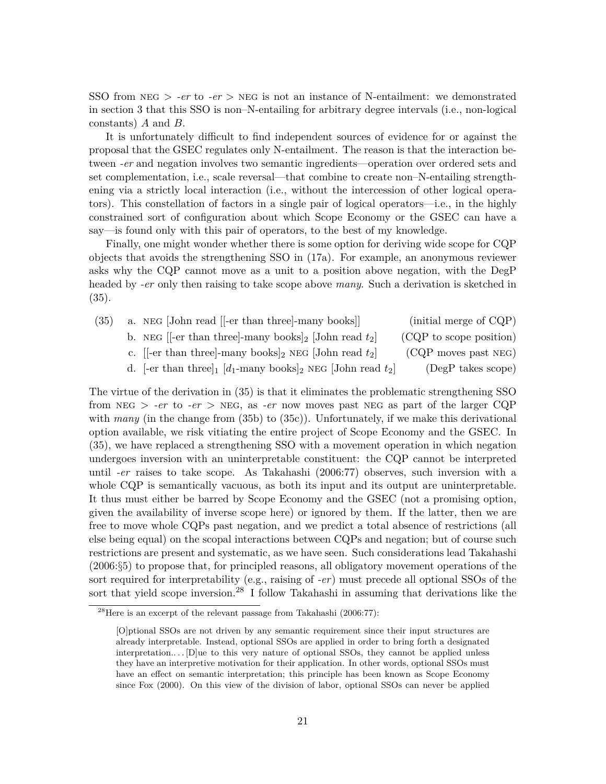SSO from NEG  $>$  *-er* to *-er*  $>$  NEG is not an instance of N-entailment: we demonstrated in section 3 that this SSO is non–N-entailing for arbitrary degree intervals (i.e., non-logical constants) *A* and *B*.

It is unfortunately difficult to find independent sources of evidence for or against the proposal that the GSEC regulates only N-entailment. The reason is that the interaction between *-er* and negation involves two semantic ingredients—operation over ordered sets and set complementation, i.e., scale reversal—that combine to create non–N-entailing strengthening via a strictly local interaction (i.e., without the intercession of other logical operators). This constellation of factors in a single pair of logical operators—i.e., in the highly constrained sort of configuration about which Scope Economy or the GSEC can have a say—is found only with this pair of operators, to the best of my knowledge.

Finally, one might wonder whether there is some option for deriving wide scope for CQP objects that avoids the strengthening SSO in (17a). For example, an anonymous reviewer asks why the CQP cannot move as a unit to a position above negation, with the DegP headed by *-er* only then raising to take scope above *many*. Such a derivation is sketched in (35).

| (35) | a. NEG [John read [-er than three]-many books]]                      | (initial merge of CQP)  |
|------|----------------------------------------------------------------------|-------------------------|
|      | b. NEG [[-er than three]-many books] <sub>2</sub> [John read $t_2$ ] | (CQP to scope position) |
|      | c. [[-er than three]-many books] <sub>2</sub> NEG [John read $t_2$ ] | $(CQP$ moves past NEG)  |

d. [ $\text{Per}$  than three]<sub>1</sub> [*d*<sub>1</sub>-many books]<sub>2</sub> neg [John read *t*<sub>2</sub>] (OQF moves past NEG)<br>d. [ $\text{Per}$  than three]<sub>1</sub> [*d*<sub>1</sub>-many books]<sub>2</sub> NEG [John read *t*<sub>2</sub>] (DegP takes scope)

The virtue of the derivation in (35) is that it eliminates the problematic strengthening SSO from NEG  $>$  *-er* to *-er*  $>$  NEG, as *-er* now moves past NEG as part of the larger CQP with *many* (in the change from (35b) to (35c)). Unfortunately, if we make this derivational option available, we risk vitiating the entire project of Scope Economy and the GSEC. In (35), we have replaced a strengthening SSO with a movement operation in which negation undergoes inversion with an uninterpretable constituent: the CQP cannot be interpreted until *-er* raises to take scope. As Takahashi (2006:77) observes, such inversion with a whole CQP is semantically vacuous, as both its input and its output are uninterpretable. It thus must either be barred by Scope Economy and the GSEC (not a promising option, given the availability of inverse scope here) or ignored by them. If the latter, then we are free to move whole CQPs past negation, and we predict a total absence of restrictions (all else being equal) on the scopal interactions between CQPs and negation; but of course such restrictions are present and systematic, as we have seen. Such considerations lead Takahashi (2006:§5) to propose that, for principled reasons, all obligatory movement operations of the sort required for interpretability (e.g., raising of *-er*) must precede all optional SSOs of the sort that yield scope inversion.<sup>28</sup> I follow Takahashi in assuming that derivations like the

 $^{28}$ Here is an excerpt of the relevant passage from Takahashi (2006:77):

<sup>[</sup>O]ptional SSOs are not driven by any semantic requirement since their input structures are already interpretable. Instead, optional SSOs are applied in order to bring forth a designated interpretation.... [D]ue to this very nature of optional SSOs, they cannot be applied unless they have an interpretive motivation for their application. In other words, optional SSOs must have an effect on semantic interpretation; this principle has been known as Scope Economy since Fox (2000). On this view of the division of labor, optional SSOs can never be applied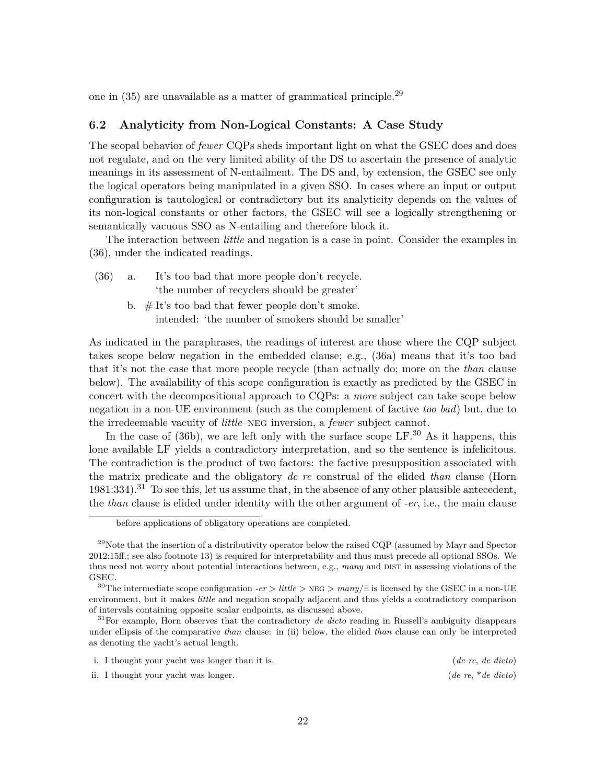one in  $(35)$  are unavailable as a matter of grammatical principle.<sup>29</sup>

### **6.2 Analyticity from Non-Logical Constants: A Case Study**

The scopal behavior of *fewer* CQPs sheds important light on what the GSEC does and does not regulate, and on the very limited ability of the DS to ascertain the presence of analytic meanings in its assessment of N-entailment. The DS and, by extension, the GSEC see only the logical operators being manipulated in a given SSO. In cases where an input or output configuration is tautological or contradictory but its analyticity depends on the values of its non-logical constants or other factors, the GSEC will see a logically strengthening or semantically vacuous SSO as N-entailing and therefore block it.

The interaction between *little* and negation is a case in point. Consider the examples in (36), under the indicated readings.

- (36) a. It's too bad that more people don't recycle. 'the number of recyclers should be greater'
	- b.  $#$  It's too bad that fewer people don't smoke. intended: 'the number of smokers should be smaller'

As indicated in the paraphrases, the readings of interest are those where the CQP subject takes scope below negation in the embedded clause; e.g., (36a) means that it's too bad that it's not the case that more people recycle (than actually do; more on the *than* clause below). The availability of this scope configuration is exactly as predicted by the GSEC in concert with the decompositional approach to CQPs: a *more* subject can take scope below negation in a non-UE environment (such as the complement of factive *too bad*) but, due to the irredeemable vacuity of *little*–neg inversion, a *fewer* subject cannot.

In the case of  $(36b)$ , we are left only with the surface scope LF.<sup>30</sup> As it happens, this lone available LF yields a contradictory interpretation, and so the sentence is infelicitous. The contradiction is the product of two factors: the factive presupposition associated with the matrix predicate and the obligatory *de re* construal of the elided *than* clause (Horn  $1981:334$ .<sup>31</sup> To see this, let us assume that, in the absence of any other plausible antecedent, the *than* clause is elided under identity with the other argument of *-er*, i.e., the main clause

<sup>31</sup>For example, Horn observes that the contradictory *de dicto* reading in Russell's ambiguity disappears under ellipsis of the comparative *than* clause: in (ii) below, the elided *than* clause can only be interpreted as denoting the yacht's actual length.

| i. I thought your yacht was longer than it is. | (de re, de dicto)    |  |
|------------------------------------------------|----------------------|--|
| ii. I thought your yacht was longer.           | $(de re, *de dicto)$ |  |

before applications of obligatory operations are completed.

 $^{29}$ Note that the insertion of a distributivity operator below the raised CQP (assumed by Mayr and Spector 2012:15ff.; see also footnote 13) is required for interpretability and thus must precede all optional SSOs. We thus need not worry about potential interactions between, e.g., *many* and DIST in assessing violations of the GSEC.

<sup>30</sup>The intermediate scope configuration *-er* > *little* > neg > *many*/∃ is licensed by the GSEC in a non-UE environment, but it makes *little* and negation scopally adjacent and thus yields a contradictory comparison of intervals containing opposite scalar endpoints, as discussed above.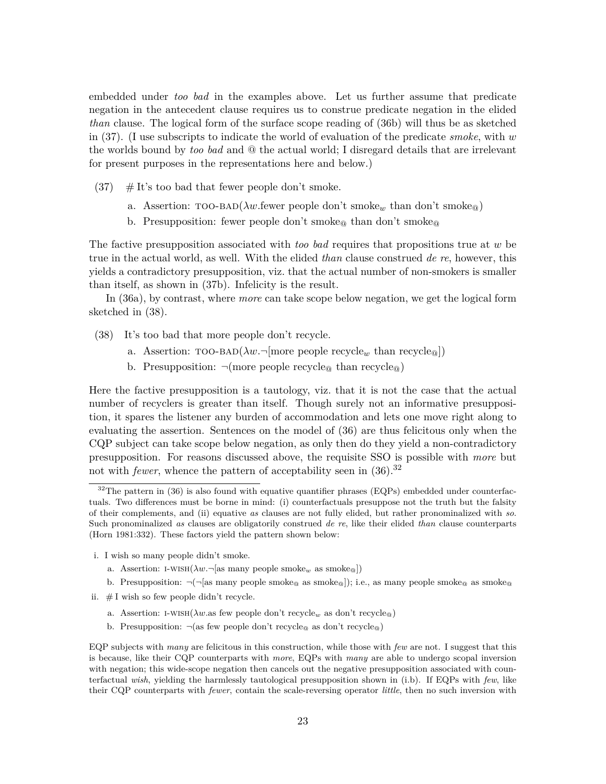embedded under *too bad* in the examples above. Let us further assume that predicate negation in the antecedent clause requires us to construe predicate negation in the elided *than* clause. The logical form of the surface scope reading of (36b) will thus be as sketched in (37). (I use subscripts to indicate the world of evaluation of the predicate *smoke*, with *w* the worlds bound by *too bad* and @ the actual world; I disregard details that are irrelevant for present purposes in the representations here and below.)

- $(37)$  # It's too bad that fewer people don't smoke.
	- a. Assertion:  $\text{TOO-BAD}(\lambda w \cdot \text{fewer people don't smoke}_w \cdot \text{than don't smoke}_\text{@})$
	- b. Presupposition: fewer people don't smoke<sub>@</sub> than don't smoke<sub>@</sub>

The factive presupposition associated with *too bad* requires that propositions true at *w* be true in the actual world, as well. With the elided *than* clause construed *de re*, however, this yields a contradictory presupposition, viz. that the actual number of non-smokers is smaller than itself, as shown in (37b). Infelicity is the result.

In (36a), by contrast, where *more* can take scope below negation, we get the logical form sketched in (38).

- (38) It's too bad that more people don't recycle.
	- a. Assertion:  $\text{TOO-BAD}(\lambda w.\neg \text{[more people recycle}_w \text{ than recycle}_@])$
	- b. Presupposition:  $\neg$ (more people recycle<sub>@</sub> than recycle<sub>@</sub>)

Here the factive presupposition is a tautology, viz. that it is not the case that the actual number of recyclers is greater than itself. Though surely not an informative presupposition, it spares the listener any burden of accommodation and lets one move right along to evaluating the assertion. Sentences on the model of (36) are thus felicitous only when the CQP subject can take scope below negation, as only then do they yield a non-contradictory presupposition. For reasons discussed above, the requisite SSO is possible with *more* but not with *fewer*, whence the pattern of acceptability seen in  $(36).^{32}$ 

- i. I wish so many people didn't smoke.
	- a. Assertion: I-WISH( $\lambda w$ .  $\lnot$  [as many people smoke<sub>w</sub> as smoke<sub>@</sub>])
	- b. Presupposition:  $\neg(\neg$ [as many people smoke<sub>@</sub> as smoke<sub>@</sub>]); i.e., as many people smoke<sub>@</sub> as smoke<sub>@</sub>
- ii.  $# I$  wish so few people didn't recycle.
	- a. Assertion: I-WISH( $\lambda w$ .as few people don't recycle<sub>w</sub> as don't recycle<sup>®</sup>)
	- b. Presupposition:  $\neg$ (as few people don't recycle<sub>@</sub> as don't recycle<sub>@</sub>)

EQP subjects with *many* are felicitous in this construction, while those with *few* are not. I suggest that this is because, like their CQP counterparts with *more*, EQPs with *many* are able to undergo scopal inversion with negation; this wide-scope negation then cancels out the negative presupposition associated with counterfactual *wish*, yielding the harmlessly tautological presupposition shown in (i.b). If EQPs with *few*, like their CQP counterparts with *fewer*, contain the scale-reversing operator *little*, then no such inversion with

 $32$ The pattern in (36) is also found with equative quantifier phrases (EQPs) embedded under counterfactuals. Two differences must be borne in mind: (i) counterfactuals presuppose not the truth but the falsity of their complements, and (ii) equative *as* clauses are not fully elided, but rather pronominalized with *so*. Such pronominalized *as* clauses are obligatorily construed *de re*, like their elided *than* clause counterparts (Horn 1981:332). These factors yield the pattern shown below: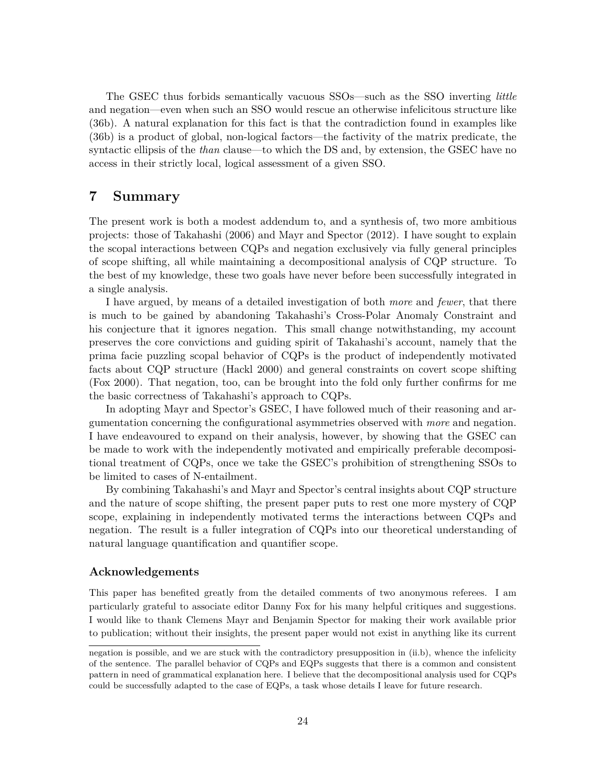The GSEC thus forbids semantically vacuous SSOs—such as the SSO inverting *little* and negation—even when such an SSO would rescue an otherwise infelicitous structure like (36b). A natural explanation for this fact is that the contradiction found in examples like (36b) is a product of global, non-logical factors—the factivity of the matrix predicate, the syntactic ellipsis of the *than* clause—to which the DS and, by extension, the GSEC have no access in their strictly local, logical assessment of a given SSO.

# **7 Summary**

The present work is both a modest addendum to, and a synthesis of, two more ambitious projects: those of Takahashi (2006) and Mayr and Spector (2012). I have sought to explain the scopal interactions between CQPs and negation exclusively via fully general principles of scope shifting, all while maintaining a decompositional analysis of CQP structure. To the best of my knowledge, these two goals have never before been successfully integrated in a single analysis.

I have argued, by means of a detailed investigation of both *more* and *fewer*, that there is much to be gained by abandoning Takahashi's Cross-Polar Anomaly Constraint and his conjecture that it ignores negation. This small change notwithstanding, my account preserves the core convictions and guiding spirit of Takahashi's account, namely that the prima facie puzzling scopal behavior of CQPs is the product of independently motivated facts about CQP structure (Hackl 2000) and general constraints on covert scope shifting (Fox 2000). That negation, too, can be brought into the fold only further confirms for me the basic correctness of Takahashi's approach to CQPs.

In adopting Mayr and Spector's GSEC, I have followed much of their reasoning and argumentation concerning the configurational asymmetries observed with *more* and negation. I have endeavoured to expand on their analysis, however, by showing that the GSEC can be made to work with the independently motivated and empirically preferable decompositional treatment of CQPs, once we take the GSEC's prohibition of strengthening SSOs to be limited to cases of N-entailment.

By combining Takahashi's and Mayr and Spector's central insights about CQP structure and the nature of scope shifting, the present paper puts to rest one more mystery of CQP scope, explaining in independently motivated terms the interactions between CQPs and negation. The result is a fuller integration of CQPs into our theoretical understanding of natural language quantification and quantifier scope.

### **Acknowledgements**

This paper has benefited greatly from the detailed comments of two anonymous referees. I am particularly grateful to associate editor Danny Fox for his many helpful critiques and suggestions. I would like to thank Clemens Mayr and Benjamin Spector for making their work available prior to publication; without their insights, the present paper would not exist in anything like its current

negation is possible, and we are stuck with the contradictory presupposition in (ii.b), whence the infelicity of the sentence. The parallel behavior of CQPs and EQPs suggests that there is a common and consistent pattern in need of grammatical explanation here. I believe that the decompositional analysis used for CQPs could be successfully adapted to the case of EQPs, a task whose details I leave for future research.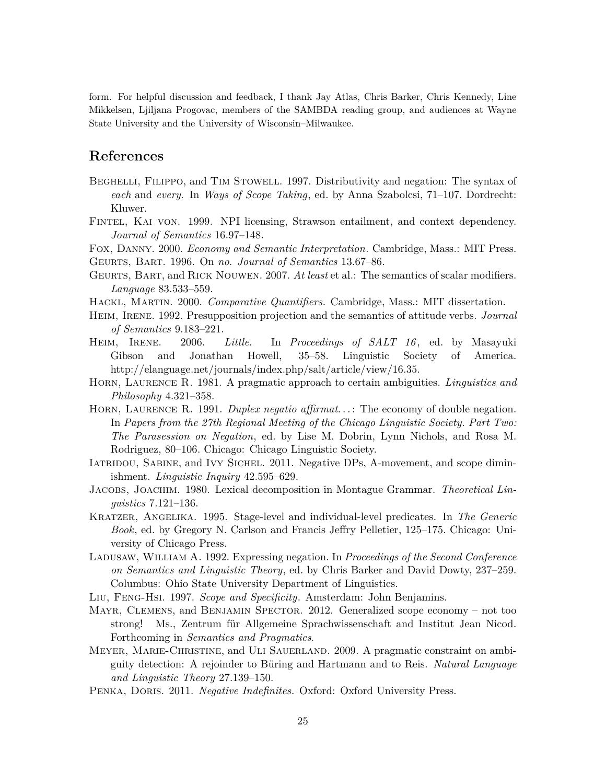form. For helpful discussion and feedback, I thank Jay Atlas, Chris Barker, Chris Kennedy, Line Mikkelsen, Ljiljana Progovac, members of the SAMBDA reading group, and audiences at Wayne State University and the University of Wisconsin–Milwaukee.

# **References**

- BEGHELLI, FILIPPO, and TIM STOWELL. 1997. Distributivity and negation: The syntax of *each* and *every*. In *Ways of Scope Taking*, ed. by Anna Szabolcsi, 71–107. Dordrecht: Kluwer.
- Fintel, Kai von. 1999. NPI licensing, Strawson entailment, and context dependency. *Journal of Semantics* 16.97–148.

Fox, Danny. 2000. *Economy and Semantic Interpretation*. Cambridge, Mass.: MIT Press. Geurts, Bart. 1996. On *no*. *Journal of Semantics* 13.67–86.

- Geurts, Bart, and Rick Nouwen. 2007. *At least* et al.: The semantics of scalar modifiers. *Language* 83.533–559.
- Hackl, Martin. 2000. *Comparative Quantifiers*. Cambridge, Mass.: MIT dissertation.
- HEIM, IRENE. 1992. Presupposition projection and the semantics of attitude verbs. *Journal of Semantics* 9.183–221.
- Heim, Irene. 2006. *Little*. In *Proceedings of SALT 16* , ed. by Masayuki Gibson and Jonathan Howell, 35–58. Linguistic Society of America. http://elanguage.net/journals/index.php/salt/article/view/16.35.
- Horn, Laurence R. 1981. A pragmatic approach to certain ambiguities. *Linguistics and Philosophy* 4.321–358.
- HORN, LAURENCE R. 1991. *Duplex negatio affirmat...* The economy of double negation. In *Papers from the 27th Regional Meeting of the Chicago Linguistic Society. Part Two: The Parasession on Negation*, ed. by Lise M. Dobrin, Lynn Nichols, and Rosa M. Rodriguez, 80–106. Chicago: Chicago Linguistic Society.
- IATRIDOU, SABINE, and IVY SICHEL. 2011. Negative DPs, A-movement, and scope diminishment. *Linguistic Inquiry* 42.595–629.
- Jacobs, Joachim. 1980. Lexical decomposition in Montague Grammar. *Theoretical Linguistics* 7.121–136.
- Kratzer, Angelika. 1995. Stage-level and individual-level predicates. In *The Generic Book*, ed. by Gregory N. Carlson and Francis Jeffry Pelletier, 125–175. Chicago: University of Chicago Press.
- Ladusaw, William A. 1992. Expressing negation. In *Proceedings of the Second Conference on Semantics and Linguistic Theory*, ed. by Chris Barker and David Dowty, 237–259. Columbus: Ohio State University Department of Linguistics.
- Liu, Feng-Hsi. 1997. *Scope and Specificity*. Amsterdam: John Benjamins.
- Mayr, Clemens, and Benjamin Spector. 2012. Generalized scope economy not too strong! Ms., Zentrum für Allgemeine Sprachwissenschaft and Institut Jean Nicod. Forthcoming in *Semantics and Pragmatics*.
- Meyer, Marie-Christine, and Uli Sauerland. 2009. A pragmatic constraint on ambiguity detection: A rejoinder to Büring and Hartmann and to Reis. *Natural Language and Linguistic Theory* 27.139–150.
- PENKA, DORIS. 2011. *Negative Indefinites*. Oxford: Oxford University Press.